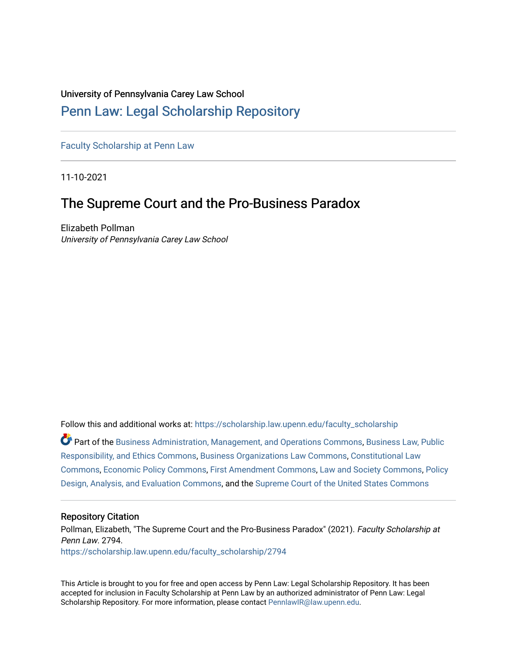# University of Pennsylvania Carey Law School

# [Penn Law: Legal Scholarship Repository](https://scholarship.law.upenn.edu/)

[Faculty Scholarship at Penn Law](https://scholarship.law.upenn.edu/faculty_scholarship)

11-10-2021

# The Supreme Court and the Pro-Business Paradox

Elizabeth Pollman University of Pennsylvania Carey Law School

Follow this and additional works at: [https://scholarship.law.upenn.edu/faculty\\_scholarship](https://scholarship.law.upenn.edu/faculty_scholarship?utm_source=scholarship.law.upenn.edu%2Ffaculty_scholarship%2F2794&utm_medium=PDF&utm_campaign=PDFCoverPages) 

Part of the [Business Administration, Management, and Operations Commons](http://network.bepress.com/hgg/discipline/623?utm_source=scholarship.law.upenn.edu%2Ffaculty_scholarship%2F2794&utm_medium=PDF&utm_campaign=PDFCoverPages), [Business Law, Public](http://network.bepress.com/hgg/discipline/628?utm_source=scholarship.law.upenn.edu%2Ffaculty_scholarship%2F2794&utm_medium=PDF&utm_campaign=PDFCoverPages) [Responsibility, and Ethics Commons,](http://network.bepress.com/hgg/discipline/628?utm_source=scholarship.law.upenn.edu%2Ffaculty_scholarship%2F2794&utm_medium=PDF&utm_campaign=PDFCoverPages) [Business Organizations Law Commons](http://network.bepress.com/hgg/discipline/900?utm_source=scholarship.law.upenn.edu%2Ffaculty_scholarship%2F2794&utm_medium=PDF&utm_campaign=PDFCoverPages), [Constitutional Law](http://network.bepress.com/hgg/discipline/589?utm_source=scholarship.law.upenn.edu%2Ffaculty_scholarship%2F2794&utm_medium=PDF&utm_campaign=PDFCoverPages)  [Commons](http://network.bepress.com/hgg/discipline/589?utm_source=scholarship.law.upenn.edu%2Ffaculty_scholarship%2F2794&utm_medium=PDF&utm_campaign=PDFCoverPages), [Economic Policy Commons,](http://network.bepress.com/hgg/discipline/1025?utm_source=scholarship.law.upenn.edu%2Ffaculty_scholarship%2F2794&utm_medium=PDF&utm_campaign=PDFCoverPages) [First Amendment Commons](http://network.bepress.com/hgg/discipline/1115?utm_source=scholarship.law.upenn.edu%2Ffaculty_scholarship%2F2794&utm_medium=PDF&utm_campaign=PDFCoverPages), [Law and Society Commons,](http://network.bepress.com/hgg/discipline/853?utm_source=scholarship.law.upenn.edu%2Ffaculty_scholarship%2F2794&utm_medium=PDF&utm_campaign=PDFCoverPages) [Policy](http://network.bepress.com/hgg/discipline/1032?utm_source=scholarship.law.upenn.edu%2Ffaculty_scholarship%2F2794&utm_medium=PDF&utm_campaign=PDFCoverPages) [Design, Analysis, and Evaluation Commons,](http://network.bepress.com/hgg/discipline/1032?utm_source=scholarship.law.upenn.edu%2Ffaculty_scholarship%2F2794&utm_medium=PDF&utm_campaign=PDFCoverPages) and the [Supreme Court of the United States Commons](http://network.bepress.com/hgg/discipline/1350?utm_source=scholarship.law.upenn.edu%2Ffaculty_scholarship%2F2794&utm_medium=PDF&utm_campaign=PDFCoverPages)

# Repository Citation

Pollman, Elizabeth, "The Supreme Court and the Pro-Business Paradox" (2021). Faculty Scholarship at Penn Law. 2794. [https://scholarship.law.upenn.edu/faculty\\_scholarship/2794](https://scholarship.law.upenn.edu/faculty_scholarship/2794?utm_source=scholarship.law.upenn.edu%2Ffaculty_scholarship%2F2794&utm_medium=PDF&utm_campaign=PDFCoverPages)

This Article is brought to you for free and open access by Penn Law: Legal Scholarship Repository. It has been accepted for inclusion in Faculty Scholarship at Penn Law by an authorized administrator of Penn Law: Legal Scholarship Repository. For more information, please contact [PennlawIR@law.upenn.edu.](mailto:PennlawIR@law.upenn.edu)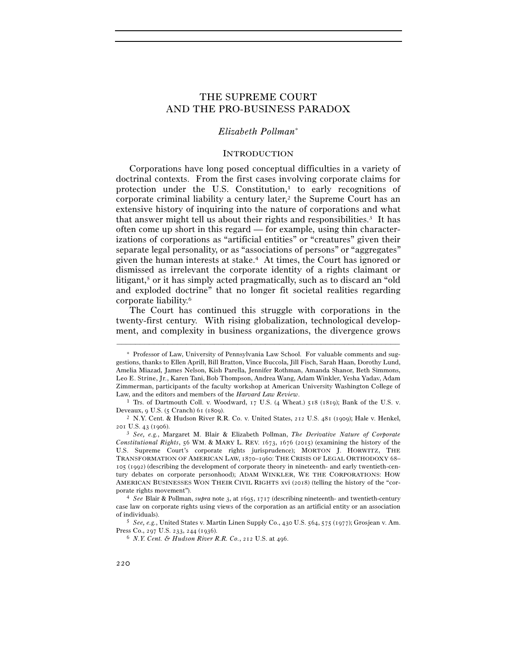# THE SUPREME COURT AND THE PRO-BUSINESS PARADOX

## *Elizabeth Pollman*<sup>∗</sup>

#### INTRODUCTION

 Corporations have long posed conceptual difficulties in a variety of doctrinal contexts. From the first cases involving corporate claims for protection under the U.S. Constitution, $\frac{1}{1}$  to early recognitions of corporate criminal liability a century later,<sup>2</sup> the Supreme Court has an extensive history of inquiring into the nature of corporations and what that answer might tell us about their rights and responsibilities.<sup>3</sup> It has often come up short in this regard — for example, using thin characterizations of corporations as "artificial entities" or "creatures" given their separate legal personality, or as "associations of persons" or "aggregates" given the human interests at stake.4 At times, the Court has ignored or dismissed as irrelevant the corporate identity of a rights claimant or litigant,<sup>5</sup> or it has simply acted pragmatically, such as to discard an "old" and exploded doctrine" that no longer fit societal realities regarding corporate liability.6

 The Court has continued this struggle with corporations in the twenty-first century. With rising globalization, technological development, and complexity in business organizations, the divergence grows

<sup>∗</sup> Professor of Law, University of Pennsylvania Law School. For valuable comments and suggestions, thanks to Ellen Aprill, Bill Bratton, Vince Buccola, Jill Fisch, Sarah Haan, Dorothy Lund, Amelia Miazad, James Nelson, Kish Parella, Jennifer Rothman, Amanda Shanor, Beth Simmons, Leo E. Strine, Jr., Karen Tani, Bob Thompson, Andrea Wang, Adam Winkler, Yesha Yadav, Adam Zimmerman, participants of the faculty workshop at American University Washington College of Law, and the editors and members of the *Harvard Law Review*. 1 Trs. of Dartmouth Coll. v. Woodward, 17 U.S. (4 Wheat.) 518 (1819); Bank of the U.S. v.

Deveaux, 9 U.S. (5 Cranch) 61 (1809).<br><sup>2</sup> N.Y. Cent. & Hudson River R.R. Co. v. United States, 212 U.S. 481 (1909); Hale v. Henkel,

<sup>201</sup> U.S. 43 (<sup>1906</sup>). 3 *See, e.g.*, Margaret M. Blair & Elizabeth Pollman, *The Derivative Nature of Corporate* 

*Constitutional Rights*, 56 WM. & MARY L. REV. 1673, 1676 (2015) (examining the history of the U.S. Supreme Court's corporate rights jurisprudence); MORTON J. HORWITZ, THE TRANSFORMATION OF AMERICAN LAW, 1870–1960: THE CRISIS OF LEGAL ORTHODOXY 68– 105 (1992) (describing the development of corporate theory in nineteenth- and early twentieth-century debates on corporate personhood); ADAM WINKLER, WE THE CORPORATIONS: HOW AMERICAN BUSINESSES WON THEIR CIVIL RIGHTS xvi (2018) (telling the history of the "corporate rights movement"). 4 *See* Blair & Pollman, *supra* note 3, at 1695, 1717 (describing nineteenth- and twentieth-century

case law on corporate rights using views of the corporation as an artificial entity or an association of individuals). 5 *See, e.g.*, United States v. Martin Linen Supply Co., 430 U.S. 564, 575 (1977); Grosjean v. Am.

Press Co., 297 U.S. 233, 244 (<sup>1936</sup>). 6 *N.Y. Cent. & Hudson River R.R. Co.*, 212 U.S. at 496.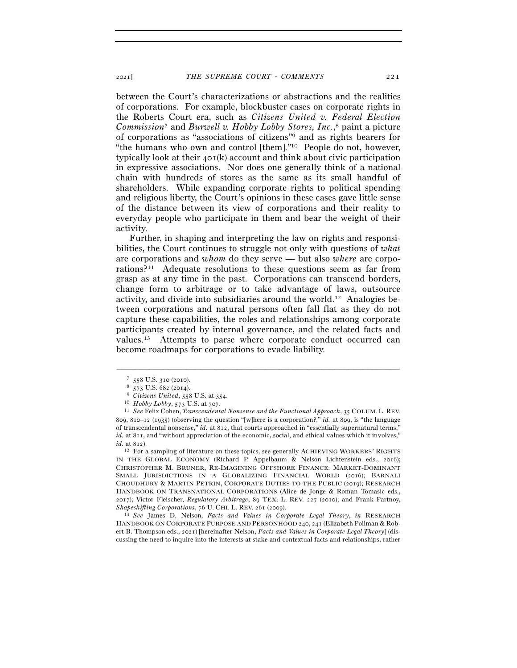between the Court's characterizations or abstractions and the realities of corporations. For example, blockbuster cases on corporate rights in the Roberts Court era, such as *Citizens United v. Federal Election Commission*7 and *Burwell v. Hobby Lobby Stores, Inc.*, 8 paint a picture of corporations as "associations of citizens"9 and as rights bearers for "the humans who own and control [them]."10 People do not, however, typically look at their 401(k) account and think about civic participation in expressive associations. Nor does one generally think of a national chain with hundreds of stores as the same as its small handful of shareholders. While expanding corporate rights to political spending and religious liberty, the Court's opinions in these cases gave little sense of the distance between its view of corporations and their reality to everyday people who participate in them and bear the weight of their activity.

Further, in shaping and interpreting the law on rights and responsibilities, the Court continues to struggle not only with questions of *what* are corporations and *whom* do they serve — but also *where* are corporations?11 Adequate resolutions to these questions seem as far from grasp as at any time in the past. Corporations can transcend borders, change form to arbitrage or to take advantage of laws, outsource activity, and divide into subsidiaries around the world.12 Analogies between corporations and natural persons often fall flat as they do not capture these capabilities, the roles and relationships among corporate participants created by internal governance, and the related facts and values.13 Attempts to parse where corporate conduct occurred can become roadmaps for corporations to evade liability.

–––––––––––––––––––––––––––––––––––––––––––––––––––––––––––––

IN THE GLOBAL ECONOMY (Richard P. Appelbaum & Nelson Lichtenstein eds., 2016); CHRISTOPHER M. BRUNER, RE-IMAGINING OFFSHORE FINANCE: MARKET-DOMINANT SMALL JURISDICTIONS IN A GLOBALIZING FINANCIAL WORLD (2016); BARNALI CHOUDHURY & MARTIN PETRIN, CORPORATE DUTIES TO THE PUBLIC (2019); RESEARCH HANDBOOK ON TRANSNATIONAL CORPORATIONS (Alice de Jonge & Roman Tomasic eds., 2017); Victor Fleischer, *Regulatory Arbitrage*, 89 TEX. L. REV. 227 (2010); and Frank Partnoy,

*Shapeshifting Corporations*, 76 U. CHI. L. REV. 261 (<sup>2009</sup>). 13 *See* James D. Nelson, *Facts and Values in Corporate Legal Theory*, *in* RESEARCH HANDBOOK ON CORPORATE PURPOSE AND PERSONHOOD 240, 241 (Elizabeth Pollman & Robert B. Thompson eds., 2021) [hereinafter Nelson, *Facts and Values in Corporate Legal Theory*] (discussing the need to inquire into the interests at stake and contextual facts and relationships, rather

<sup>7</sup> <sup>558</sup> U.S. 310 (<sup>2010</sup>). 8 <sup>573</sup> U.S. 682 (<sup>2014</sup>). 9 *Citizens United*, 558 U.S. at 354.

<sup>&</sup>lt;sup>10</sup> *Hobby Lobby*, 573 U.S. at 707.<br><sup>11</sup> *See* Felix Cohen, *Transcendental Nonsense and the Functional Approach*, 35 COLUM. L. REV. 809, 810–12 (1935) (observing the question "[w]here is a corporation?," *id.* at 809, is "the language of transcendental nonsense," *id.* at 812, that courts approached in "essentially supernatural terms," *id.* at 811, and "without appreciation of the economic, social, and ethical values which it involves," *id.* at 812). 12 For a sampling of literature on these topics, see generally ACHIEVING WORKERS' RIGHTS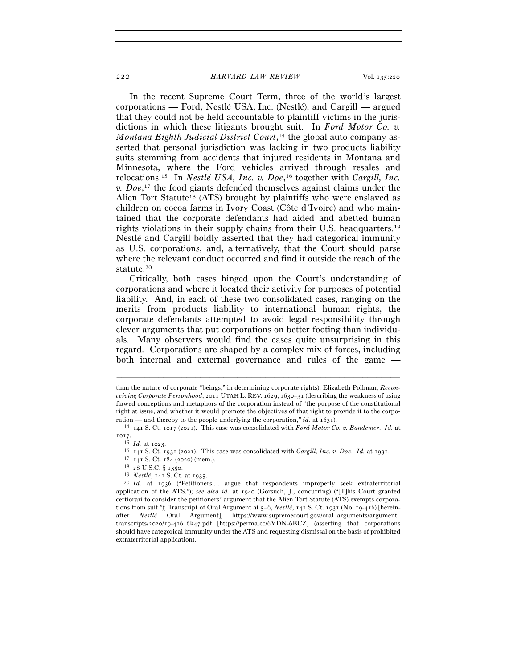In the recent Supreme Court Term, three of the world's largest corporations — Ford, Nestlé USA, Inc. (Nestlé), and Cargill — argued that they could not be held accountable to plaintiff victims in the jurisdictions in which these litigants brought suit. In *Ford Motor Co. v. Montana Eighth Judicial District Court*, 14 the global auto company asserted that personal jurisdiction was lacking in two products liability suits stemming from accidents that injured residents in Montana and Minnesota, where the Ford vehicles arrived through resales and relocations.15 In *Nestlé USA, Inc. v. Doe*, 16 together with *Cargill, Inc. v. Doe*, 17 the food giants defended themselves against claims under the Alien Tort Statute18 (ATS) brought by plaintiffs who were enslaved as children on cocoa farms in Ivory Coast (Côte d'Ivoire) and who maintained that the corporate defendants had aided and abetted human rights violations in their supply chains from their U.S. headquarters.19 Nestlé and Cargill boldly asserted that they had categorical immunity as U.S. corporations, and, alternatively, that the Court should parse where the relevant conduct occurred and find it outside the reach of the statute.20

Critically, both cases hinged upon the Court's understanding of corporations and where it located their activity for purposes of potential liability. And, in each of these two consolidated cases, ranging on the merits from products liability to international human rights, the corporate defendants attempted to avoid legal responsibility through clever arguments that put corporations on better footing than individuals. Many observers would find the cases quite unsurprising in this regard. Corporations are shaped by a complex mix of forces, including both internal and external governance and rules of the game —

than the nature of corporate "beings," in determining corporate rights); Elizabeth Pollman, *Reconceiving Corporate Personhood*, 2011 UTAH L. REV. 1629, 1630–31 (describing the weakness of using flawed conceptions and metaphors of the corporation instead of "the purpose of the constitutional right at issue, and whether it would promote the objectives of that right to provide it to the corporation — and thereby to the people underlying the corporation," *id.* at 1631).<br><sup>14</sup> 141 S. Ct. 1017 (2021). This case was consolidated with *Ford Motor Co. v. Bandemer*. *Id.* at

 $^{1017.}_{\phantom{101} \phantom{101} 15}$   $Id.$  at 1023.

<sup>&</sup>lt;sup>16</sup> 141 S. Ct. 1931 (2021). This case was consolidated with *Cargill*, *Inc. v. Doe. Id.* at 1931.<br><sup>17</sup> 141 S. Ct. 184 (2020) (mem.).<br><sup>18</sup> 28 U.S.C. § 1350.<br><sup>19</sup> *Nestlé*, 141 S. Ct. at 1935.<br><sup>20</sup> *Id.* at 1936 ("Petit

application of the ATS."); *see also id.* at 1940 (Gorsuch, J., concurring) ("[T]his Court granted certiorari to consider the petitioners' argument that the Alien Tort Statute (ATS) exempts corporations from suit."); Transcript of Oral Argument at 5–6, *Nestlé*, 141 S. Ct. 1931 (No. 19-416) [hereinafter *Nestlé* Oral Argument], https://www.supremecourt.gov/oral\_arguments/argument\_ transcripts/2020/19-416\_6k47.pdf [https://perma.cc/6YDN-6BCZ] (asserting that corporations should have categorical immunity under the ATS and requesting dismissal on the basis of prohibited extraterritorial application).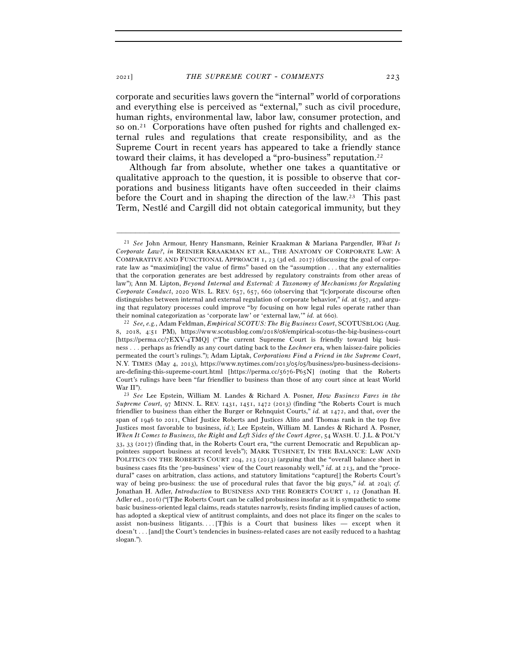corporate and securities laws govern the "internal" world of corporations and everything else is perceived as "external," such as civil procedure, human rights, environmental law, labor law, consumer protection, and so on.<sup>21</sup> Corporations have often pushed for rights and challenged external rules and regulations that create responsibility, and as the Supreme Court in recent years has appeared to take a friendly stance toward their claims, it has developed a "pro-business" reputation.<sup>22</sup>

Although far from absolute, whether one takes a quantitative or qualitative approach to the question, it is possible to observe that corporations and business litigants have often succeeded in their claims before the Court and in shaping the direction of the law.23 This past Term, Nestlé and Cargill did not obtain categorical immunity, but they

<sup>21</sup> *See* John Armour, Henry Hansmann, Reinier Kraakman & Mariana Pargendler, *What Is Corporate Law?*, *in* REINIER KRAAKMAN ET AL., THE ANATOMY OF CORPORATE LAW: A COMPARATIVE AND FUNCTIONAL APPROACH 1, 23 (3d ed. 2017) (discussing the goal of corporate law as "maximiz[ing] the value of firms" based on the "assumption . . . that any externalities that the corporation generates are best addressed by regulatory constraints from other areas of law"); Ann M. Lipton, *Beyond Internal and External: A Taxonomy of Mechanisms for Regulating Corporate Conduct*, 2020 WIS. L. REV. 657, 657, 660 (observing that "[c]orporate discourse often distinguishes between internal and external regulation of corporate behavior," *id.* at 657, and arguing that regulatory processes could improve "by focusing on how legal rules operate rather than their nominal categorization as 'corporate law' or 'external law,'" *id.* at <sup>660</sup>). 22 *See, e.g.*, Adam Feldman, *Empirical SCOTUS: The Big Business Court*, SCOTUSBLOG (Aug.

<sup>8</sup>, 2018, 4:51 PM), https://www.scotusblog.com/2018/08/empirical-scotus-the-big-business-court [https://perma.cc/7EXV-4TMQ] ("The current Supreme Court is friendly toward big business . . . perhaps as friendly as any court dating back to the *Lochner* era, when laissez-faire policies permeated the court's rulings."); Adam Liptak, *Corporations Find a Friend in the Supreme Court*, N.Y. TIMES (May 4, 2013), https://www.nytimes.com/2013/05/05/business/pro-business-decisionsare-defining-this-supreme-court.html [https://perma.cc/5676-P65N] (noting that the Roberts Court's rulings have been "far friendlier to business than those of any court since at least World War II"). 23 *See* Lee Epstein, William M. Landes & Richard A. Posner, *How Business Fares in the* 

*Supreme Court*, 97 MINN. L. REV. 1431, 1451, 1472 (2013) (finding "the Roberts Court is much friendlier to business than either the Burger or Rehnquist Courts," *id.* at 1472, and that, over the span of 1946 to 2011, Chief Justice Roberts and Justices Alito and Thomas rank in the top five Justices most favorable to business, *id.*); Lee Epstein, William M. Landes & Richard A. Posner, *When It Comes to Business, the Right and Left Sides of the Court Agree*, 54 WASH. U. J.L. & POL'Y 33, 33 (2017) (finding that, in the Roberts Court era, "the current Democratic and Republican appointees support business at record levels"); MARK TUSHNET, IN THE BALANCE: LAW AND POLITICS ON THE ROBERTS COURT 204, 213 (2013) (arguing that the "overall balance sheet in business cases fits the 'pro-business' view of the Court reasonably well," *id.* at 213, and the "procedural" cases on arbitration, class actions, and statutory limitations "capture[] the Roberts Court's way of being pro-business: the use of procedural rules that favor the big guys," *id.* at 204); *cf.* Jonathan H. Adler, *Introduction* to BUSINESS AND THE ROBERTS COURT 1, 12 (Jonathan H. Adler ed., 2016) ("[T]he Roberts Court can be called probusiness insofar as it is sympathetic to some basic business-oriented legal claims, reads statutes narrowly, resists finding implied causes of action, has adopted a skeptical view of antitrust complaints, and does not place its finger on the scales to assist non-business litigants....  $[T]$ his is a Court that business likes — except when it doesn't . . . [and] the Court's tendencies in business-related cases are not easily reduced to a hashtag slogan.").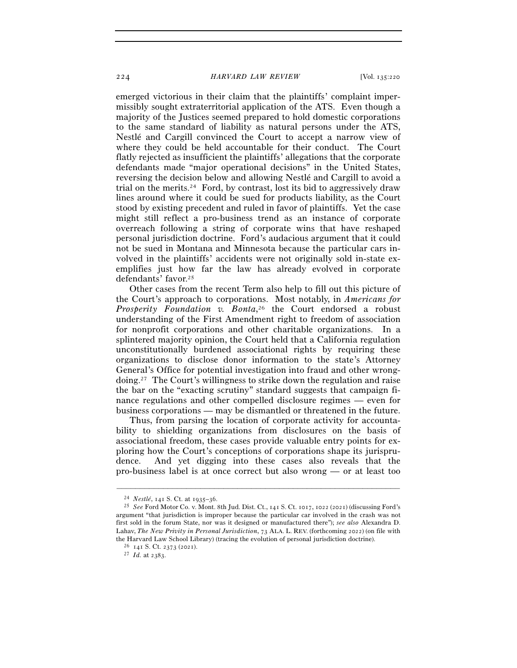emerged victorious in their claim that the plaintiffs' complaint impermissibly sought extraterritorial application of the ATS. Even though a majority of the Justices seemed prepared to hold domestic corporations to the same standard of liability as natural persons under the ATS, Nestlé and Cargill convinced the Court to accept a narrow view of where they could be held accountable for their conduct. The Court flatly rejected as insufficient the plaintiffs' allegations that the corporate defendants made "major operational decisions" in the United States, reversing the decision below and allowing Nestlé and Cargill to avoid a trial on the merits.24 Ford, by contrast, lost its bid to aggressively draw lines around where it could be sued for products liability, as the Court stood by existing precedent and ruled in favor of plaintiffs. Yet the case might still reflect a pro-business trend as an instance of corporate overreach following a string of corporate wins that have reshaped personal jurisdiction doctrine. Ford's audacious argument that it could not be sued in Montana and Minnesota because the particular cars involved in the plaintiffs' accidents were not originally sold in-state exemplifies just how far the law has already evolved in corporate defendants' favor.25

Other cases from the recent Term also help to fill out this picture of the Court's approach to corporations. Most notably, in *Americans for Prosperity Foundation v. Bonta*, 26 the Court endorsed a robust understanding of the First Amendment right to freedom of association for nonprofit corporations and other charitable organizations. In a splintered majority opinion, the Court held that a California regulation unconstitutionally burdened associational rights by requiring these organizations to disclose donor information to the state's Attorney General's Office for potential investigation into fraud and other wrongdoing.27 The Court's willingness to strike down the regulation and raise the bar on the "exacting scrutiny" standard suggests that campaign finance regulations and other compelled disclosure regimes — even for business corporations — may be dismantled or threatened in the future.

Thus, from parsing the location of corporate activity for accountability to shielding organizations from disclosures on the basis of associational freedom, these cases provide valuable entry points for exploring how the Court's conceptions of corporations shape its jurisprudence. And yet digging into these cases also reveals that the pro-business label is at once correct but also wrong — or at least too

<sup>24</sup> *Nestlé*, 141 S. Ct. at 1935–<sup>36</sup>. 25 *See* Ford Motor Co. v. Mont. 8th Jud. Dist. Ct., 141 S. Ct. 1017, 1022 (2021) (discussing Ford's argument "that jurisdiction is improper because the particular car involved in the crash was not first sold in the forum State, nor was it designed or manufactured there"); *see also* Alexandra D. Lahav, *The New Privity in Personal Jurisdiction*, 73 ALA. L. REV. (forthcoming 2022) (on file with the Harvard Law School Library) (tracing the evolution of personal jurisdiction doctrine). 26 <sup>141</sup> S. Ct. 2373 (<sup>2021</sup>). 27 *Id.* at 2383.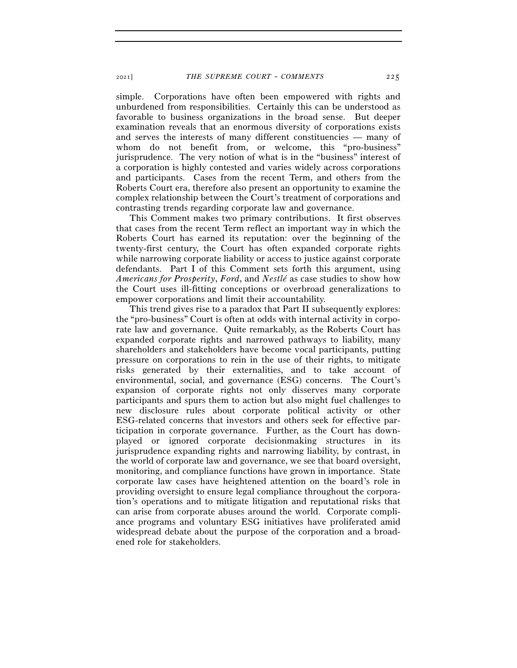simple. Corporations have often been empowered with rights and unburdened from responsibilities. Certainly this can be understood as favorable to business organizations in the broad sense. But deeper examination reveals that an enormous diversity of corporations exists and serves the interests of many different constituencies — many of whom do not benefit from, or welcome, this "pro-business" jurisprudence. The very notion of what is in the "business" interest of a corporation is highly contested and varies widely across corporations and participants. Cases from the recent Term, and others from the Roberts Court era, therefore also present an opportunity to examine the complex relationship between the Court's treatment of corporations and contrasting trends regarding corporate law and governance.

This Comment makes two primary contributions. It first observes that cases from the recent Term reflect an important way in which the Roberts Court has earned its reputation: over the beginning of the twenty-first century, the Court has often expanded corporate rights while narrowing corporate liability or access to justice against corporate defendants. Part I of this Comment sets forth this argument, using *Americans for Prosperity*, *Ford*, and *Nestlé* as case studies to show how the Court uses ill-fitting conceptions or overbroad generalizations to empower corporations and limit their accountability.

This trend gives rise to a paradox that Part II subsequently explores: the "pro-business" Court is often at odds with internal activity in corporate law and governance. Quite remarkably, as the Roberts Court has expanded corporate rights and narrowed pathways to liability, many shareholders and stakeholders have become vocal participants, putting pressure on corporations to rein in the use of their rights, to mitigate risks generated by their externalities, and to take account of environmental, social, and governance (ESG) concerns. The Court's expansion of corporate rights not only disserves many corporate participants and spurs them to action but also might fuel challenges to new disclosure rules about corporate political activity or other ESG-related concerns that investors and others seek for effective participation in corporate governance. Further, as the Court has downplayed or ignored corporate decisionmaking structures in its jurisprudence expanding rights and narrowing liability, by contrast, in the world of corporate law and governance, we see that board oversight, monitoring, and compliance functions have grown in importance. State corporate law cases have heightened attention on the board's role in providing oversight to ensure legal compliance throughout the corporation's operations and to mitigate litigation and reputational risks that can arise from corporate abuses around the world. Corporate compliance programs and voluntary ESG initiatives have proliferated amid widespread debate about the purpose of the corporation and a broadened role for stakeholders.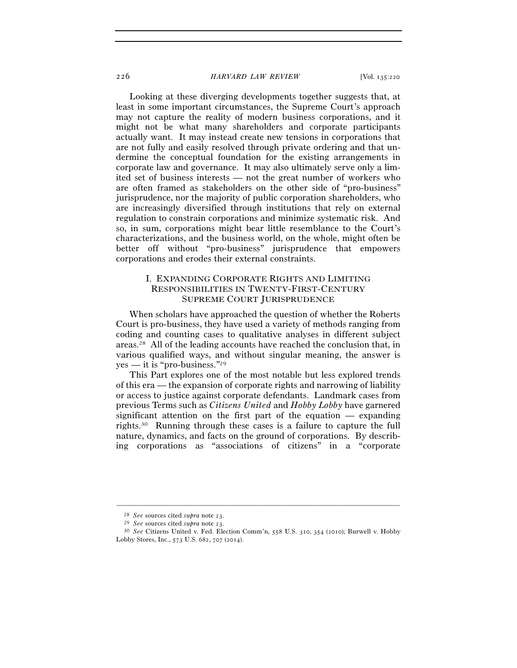Looking at these diverging developments together suggests that, at least in some important circumstances, the Supreme Court's approach may not capture the reality of modern business corporations, and it might not be what many shareholders and corporate participants actually want. It may instead create new tensions in corporations that are not fully and easily resolved through private ordering and that undermine the conceptual foundation for the existing arrangements in corporate law and governance. It may also ultimately serve only a limited set of business interests — not the great number of workers who are often framed as stakeholders on the other side of "pro-business" jurisprudence, nor the majority of public corporation shareholders, who are increasingly diversified through institutions that rely on external regulation to constrain corporations and minimize systematic risk. And so, in sum, corporations might bear little resemblance to the Court's characterizations, and the business world, on the whole, might often be better off without "pro-business" jurisprudence that empowers corporations and erodes their external constraints.

## I. EXPANDING CORPORATE RIGHTS AND LIMITING RESPONSIBILITIES IN TWENTY-FIRST-CENTURY SUPREME COURT JURISPRUDENCE

When scholars have approached the question of whether the Roberts Court is pro-business, they have used a variety of methods ranging from coding and counting cases to qualitative analyses in different subject areas.28 All of the leading accounts have reached the conclusion that, in various qualified ways, and without singular meaning, the answer is yes — it is "pro-business."29

This Part explores one of the most notable but less explored trends of this era — the expansion of corporate rights and narrowing of liability or access to justice against corporate defendants. Landmark cases from previous Terms such as *Citizens United* and *Hobby Lobby* have garnered significant attention on the first part of the equation — expanding rights.30 Running through these cases is a failure to capture the full nature, dynamics, and facts on the ground of corporations. By describing corporations as "associations of citizens" in a "corporate

<sup>28</sup> *See* sources cited *supra* note <sup>23</sup>. 29 *See* sources cited *supra* note <sup>23</sup>. 30 *See* Citizens United v. Fed. Election Comm'n, 558 U.S. 310, 354 (2010); Burwell v. Hobby Lobby Stores, Inc., 573 U.S. 682, 707 (2014).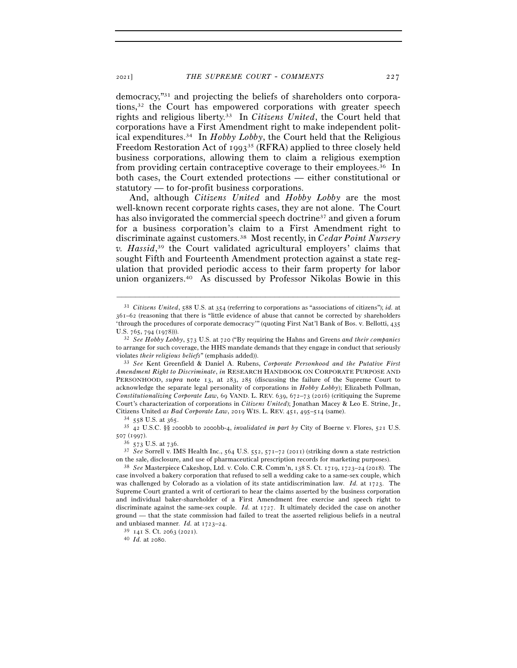democracy,"31 and projecting the beliefs of shareholders onto corporations,32 the Court has empowered corporations with greater speech rights and religious liberty.33 In *Citizens United*, the Court held that corporations have a First Amendment right to make independent political expenditures.34 In *Hobby Lobby*, the Court held that the Religious Freedom Restoration Act of 1993<sup>35</sup> (RFRA) applied to three closely held business corporations, allowing them to claim a religious exemption from providing certain contraceptive coverage to their employees.36 In both cases, the Court extended protections — either constitutional or statutory — to for-profit business corporations.

And, although *Citizens United* and *Hobby Lobby* are the most well-known recent corporate rights cases, they are not alone. The Court has also invigorated the commercial speech doctrine<sup>37</sup> and given a forum for a business corporation's claim to a First Amendment right to discriminate against customers.38 Most recently, in *Cedar Point Nursery v. Hassid*, 39 the Court validated agricultural employers' claims that sought Fifth and Fourteenth Amendment protection against a state regulation that provided periodic access to their farm property for labor union organizers.40 As discussed by Professor Nikolas Bowie in this

–––––––––––––––––––––––––––––––––––––––––––––––––––––––––––––

<sup>507</sup> (<sup>1997</sup>). 36 <sup>573</sup> U.S. at <sup>736</sup>. 37 *See* Sorrell v. IMS Health Inc., 564 U.S. 552, 571–72 (2011) (striking down a state restriction

<sup>31</sup> *Citizens United*, 588 U.S. at 354 (referring to corporations as "associations of citizens"); *id.* at 361–62 (reasoning that there is "little evidence of abuse that cannot be corrected by shareholders 'through the procedures of corporate democracy'" (quoting First Nat'l Bank of Bos. v. Bellotti, 435 U.S. 765, 794 (<sup>1978</sup>))). 32 *See Hobby Lobby*, 573 U.S. at 720 ("By requiring the Hahns and Greens *and their companies* 

to arrange for such coverage, the HHS mandate demands that they engage in conduct that seriously

violates *their religious beliefs*" (emphasis added)). 33 *See* Kent Greenfield & Daniel A. Rubens, *Corporate Personhood and the Putative First Amendment Right to Discriminate*, *in* RESEARCH HANDBOOK ON CORPORATE PURPOSE AND PERSONHOOD, *supra* note 13, at 283, 285 (discussing the failure of the Supreme Court to acknowledge the separate legal personality of corporations in *Hobby Lobby*); Elizabeth Pollman, *Constitutionalizing Corporate Law*, 69 VAND. L. REV. 639, 672–73 (2016) (critiquing the Supreme Court's characterization of corporations in *Citizens United*); Jonathan Macey & Leo E. Strine, Jr., Citizens United *as Bad Corporate Law*, 2019 WIS. L. REV. 451, 495–514 (same).<br><sup>34</sup> 558 U.S. at 365.<br><sup>35</sup> 42 U.S.C. §§ 2000bb to 2000bb-4, *invalidated in part by* City of Boerne v. Flores, 521 U.S.

on the sale, disclosure, and use of pharmaceutical prescription records for marketing purposes). 38 *See* Masterpiece Cakeshop, Ltd. v. Colo. C.R. Comm'n, 138 S. Ct. 1719, 1723–24 (2018). The

case involved a bakery corporation that refused to sell a wedding cake to a same-sex couple, which was challenged by Colorado as a violation of its state antidiscrimination law. *Id.* at 1723. The Supreme Court granted a writ of certiorari to hear the claims asserted by the business corporation and individual baker-shareholder of a First Amendment free exercise and speech right to discriminate against the same-sex couple. *Id.* at 1727. It ultimately decided the case on another ground — that the state commission had failed to treat the asserted religious beliefs in a neutral and unbiased manner. *Id.* at 1723–<sup>24</sup>. 39 <sup>141</sup> S. Ct. 2063 (<sup>2021</sup>). 40 *Id.* at 2080.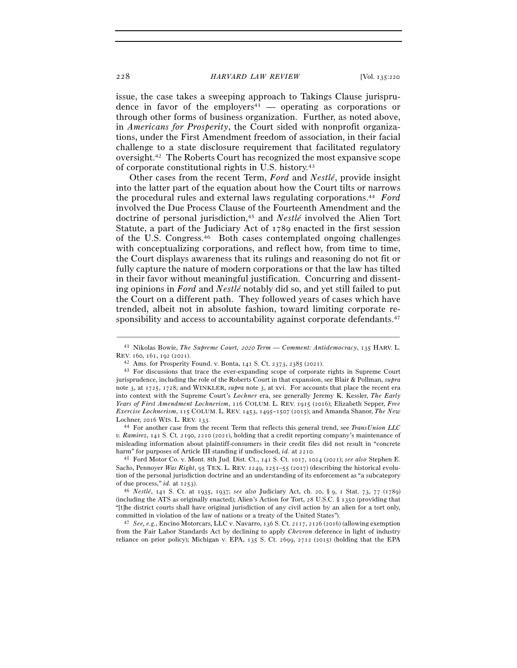issue, the case takes a sweeping approach to Takings Clause jurisprudence in favor of the employers<sup>41</sup> — operating as corporations or through other forms of business organization. Further, as noted above, in *Americans for Prosperity*, the Court sided with nonprofit organizations, under the First Amendment freedom of association, in their facial challenge to a state disclosure requirement that facilitated regulatory oversight.42 The Roberts Court has recognized the most expansive scope of corporate constitutional rights in U.S. history.43

Other cases from the recent Term, *Ford* and *Nestlé*, provide insight into the latter part of the equation about how the Court tilts or narrows the procedural rules and external laws regulating corporations.44 *Ford* involved the Due Process Clause of the Fourteenth Amendment and the doctrine of personal jurisdiction,45 and *Nestlé* involved the Alien Tort Statute, a part of the Judiciary Act of 1789 enacted in the first session of the U.S. Congress.46 Both cases contemplated ongoing challenges with conceptualizing corporations, and reflect how, from time to time, the Court displays awareness that its rulings and reasoning do not fit or fully capture the nature of modern corporations or that the law has tilted in their favor without meaningful justification. Concurring and dissenting opinions in *Ford* and *Nestlé* notably did so, and yet still failed to put the Court on a different path. They followed years of cases which have trended, albeit not in absolute fashion, toward limiting corporate responsibility and access to accountability against corporate defendants.<sup>47</sup>

<sup>44</sup> For another case from the recent Term that reflects this general trend, see *TransUnion LLC v. Ramirez*, 141 S. Ct. 2190, 2210 (2021), holding that a credit reporting company's maintenance of misleading information about plaintiff-consumers in their credit files did not result in "concrete harm" for purposes of Article III standing if undisclosed, *id.* at <sup>2210</sup>. 45 Ford Motor Co. v. Mont. 8th Jud. Dist. Ct., 141 S. Ct. 1017, 1024 (2021); *see also* Stephen E.

Sachs, Pennoyer *Was Right*, 95 TEX. L. REV. 1249, 1251–55 (2017) (describing the historical evolution of the personal jurisdiction doctrine and an understanding of its enforcement as "a subcategory of due process," *id.* at <sup>1253</sup>). 46 *Nestlé*, 141 S. Ct. at 1935, 1937; *see also* Judiciary Act, ch. 20, § <sup>9</sup>, 1 Stat. 73, 77 (1789)

(including the ATS as originally enacted); Alien's Action for Tort, 28 U.S.C. § 1350 (providing that "[t]he district courts shall have original jurisdiction of any civil action by an alien for a tort only, committed in violation of the law of nations or a treaty of the United States"). 47 *See, e.g.*, Encino Motorcars, LLC v. Navarro, 136 S. Ct. 2117, 2126 (2016) (allowing exemption

from the Fair Labor Standards Act by declining to apply *Chevron* deference in light of industry reliance on prior policy); Michigan v. EPA, 135 S. Ct. 2699, 2712 (2015) (holding that the EPA

<sup>–––––––––––––––––––––––––––––––––––––––––––––––––––––––––––––</sup> <sup>41</sup> Nikolas Bowie, *The Supreme Court,* 2020 *Term — Comment: Antidemocracy*, 135 HARV. L. REV. 160, 161, 192 (2021).<br><sup>42</sup> Ams. for Prosperity Found. v. Bonta, 141 S. Ct. 2373, 2385 (2021).<br><sup>43</sup> For discussions that trace the ever-expanding scope of corporate rights in Supreme Court

jurisprudence, including the role of the Roberts Court in that expansion, see Blair & Pollman, *supra* note 3, at 1725, 1728; and WINKLER, *supra* note 3, at xvi. For accounts that place the recent era into context with the Supreme Court's *Lochner* era, see generally Jeremy K. Kessler, *The Early Years of First Amendment Lochnerism*, 116 COLUM. L. REV. 1915 (2016); Elizabeth Sepper, *Free Exercise Lochnerism*, 115 COLUM. L. REV. 1453, 1495–1507 (2015); and Amanda Shanor, *The New*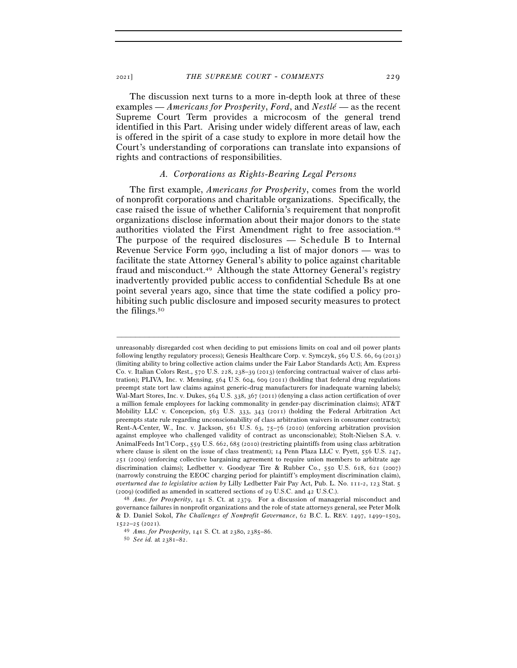The discussion next turns to a more in-depth look at three of these examples — *Americans for Prosperity*, *Ford*, and *Nestlé* — as the recent Supreme Court Term provides a microcosm of the general trend identified in this Part. Arising under widely different areas of law, each is offered in the spirit of a case study to explore in more detail how the Court's understanding of corporations can translate into expansions of rights and contractions of responsibilities.

## *A. Corporations as Rights-Bearing Legal Persons*

The first example, *Americans for Prosperity*, comes from the world of nonprofit corporations and charitable organizations. Specifically, the case raised the issue of whether California's requirement that nonprofit organizations disclose information about their major donors to the state authorities violated the First Amendment right to free association.48 The purpose of the required disclosures — Schedule B to Internal Revenue Service Form 990, including a list of major donors — was to facilitate the state Attorney General's ability to police against charitable fraud and misconduct.49 Although the state Attorney General's registry inadvertently provided public access to confidential Schedule Bs at one point several years ago, since that time the state codified a policy prohibiting such public disclosure and imposed security measures to protect the filings.50

unreasonably disregarded cost when deciding to put emissions limits on coal and oil power plants following lengthy regulatory process); Genesis Healthcare Corp. v. Symczyk, 569 U.S. 66, 69 (2013) (limiting ability to bring collective action claims under the Fair Labor Standards Act); Am. Express Co. v. Italian Colors Rest., 570 U.S. 228, 238–39 (2013) (enforcing contractual waiver of class arbitration); PLIVA, Inc. v. Mensing, 564 U.S. 604, 609 (2011) (holding that federal drug regulations preempt state tort law claims against generic-drug manufacturers for inadequate warning labels); Wal-Mart Stores, Inc. v. Dukes, 564 U.S. 338, 367 (2011) (denying a class action certification of over a million female employees for lacking commonality in gender-pay discrimination claims); AT&T Mobility LLC v. Concepcion, 563 U.S. 333, 343 (2011) (holding the Federal Arbitration Act preempts state rule regarding unconscionability of class arbitration waivers in consumer contracts); Rent-A-Center, W., Inc. v. Jackson, 561 U.S. 63, 75–76 (2010) (enforcing arbitration provision against employee who challenged validity of contract as unconscionable); Stolt-Nielsen S.A. v. AnimalFeeds Int'l Corp., 559 U.S. 662, 685 (2010) (restricting plaintiffs from using class arbitration where clause is silent on the issue of class treatment); 14 Penn Plaza LLC v. Pyett, 556 U.S. 247, 251 (2009) (enforcing collective bargaining agreement to require union members to arbitrate age discrimination claims); Ledbetter v. Goodyear Tire & Rubber Co., 550 U.S. 618, 621 (2007) (narrowly construing the EEOC charging period for plaintiff's employment discrimination claim), *overturned due to legislative action by* Lilly Ledbetter Fair Pay Act, Pub. L. No. 111-2, 123 Stat. 5

<sup>(</sup>2009) (codified as amended in scattered sections of 29 U.S.C. and <sup>42</sup> U.S.C.). 48 *Ams. for Prosperity*, 141 S. Ct. at 2379. For a discussion of managerial misconduct and governance failures in nonprofit organizations and the role of state attorneys general, see Peter Molk & D. Daniel Sokol, *The Challenges of Nonprofit Governance*, 62 B.C. L. REV. 1497, 1499–1503, <sup>1522</sup>–25 (<sup>2021</sup>). 49 *Ams. for Prosperity*, 141 S. Ct. at 2380, 2385–<sup>86</sup>. 50 *See id.* at 2381–82.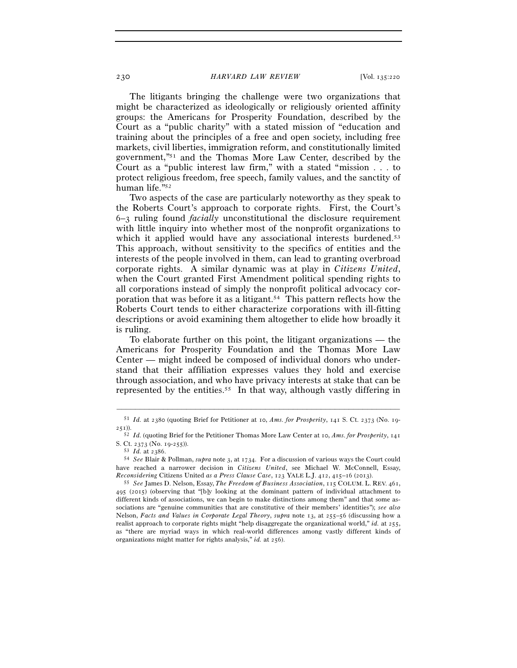The litigants bringing the challenge were two organizations that might be characterized as ideologically or religiously oriented affinity groups: the Americans for Prosperity Foundation, described by the Court as a "public charity" with a stated mission of "education and training about the principles of a free and open society, including free markets, civil liberties, immigration reform, and constitutionally limited government,"51 and the Thomas More Law Center, described by the Court as a "public interest law firm," with a stated "mission . . . to protect religious freedom, free speech, family values, and the sanctity of human life."52

Two aspects of the case are particularly noteworthy as they speak to the Roberts Court's approach to corporate rights. First, the Court's 6–3 ruling found *facially* unconstitutional the disclosure requirement with little inquiry into whether most of the nonprofit organizations to which it applied would have any associational interests burdened.<sup>53</sup> This approach, without sensitivity to the specifics of entities and the interests of the people involved in them, can lead to granting overbroad corporate rights. A similar dynamic was at play in *Citizens United*, when the Court granted First Amendment political spending rights to all corporations instead of simply the nonprofit political advocacy corporation that was before it as a litigant.54 This pattern reflects how the Roberts Court tends to either characterize corporations with ill-fitting descriptions or avoid examining them altogether to elide how broadly it is ruling.

To elaborate further on this point, the litigant organizations — the Americans for Prosperity Foundation and the Thomas More Law Center — might indeed be composed of individual donors who understand that their affiliation expresses values they hold and exercise through association, and who have privacy interests at stake that can be represented by the entities.55 In that way, although vastly differing in

<sup>–––––––––––––––––––––––––––––––––––––––––––––––––––––––––––––</sup> <sup>51</sup> *Id.* at 2380 (quoting Brief for Petitioner at 10, *Ams. for Prosperity*, 141 S. Ct. 2373 (No. 19- 251)).

<sup>52</sup> *Id.* (quoting Brief for the Petitioner Thomas More Law Center at 10, *Ams. for Prosperity*, 141

S. Ct. 2373 (No. 19-<sup>255</sup>)). 53 *Id.* at <sup>2386</sup>. 54 *See* Blair & Pollman, *supra* note 3, at 1734. For a discussion of various ways the Court could have reached a narrower decision in *Citizens United*, see Michael W. McConnell, Essay, *Reconsidering* Citizens United *as a Press Clause Case*, 123 YALE L.J. 412, 415–16 (<sup>2013</sup>). 55 *See* James D. Nelson, Essay, *The Freedom of Business Association*, 115 COLUM. L. REV. 461,

<sup>495</sup> (2015) (observing that "[b]y looking at the dominant pattern of individual attachment to different kinds of associations, we can begin to make distinctions among them" and that some associations are "genuine communities that are constitutive of their members' identities"); *see also* Nelson, *Facts and Values in Corporate Legal Theory*, *supra* note 13, at 255–56 (discussing how a realist approach to corporate rights might "help disaggregate the organizational world," *id.* at 255, as "there are myriad ways in which real-world differences among vastly different kinds of organizations might matter for rights analysis," *id.* at 256).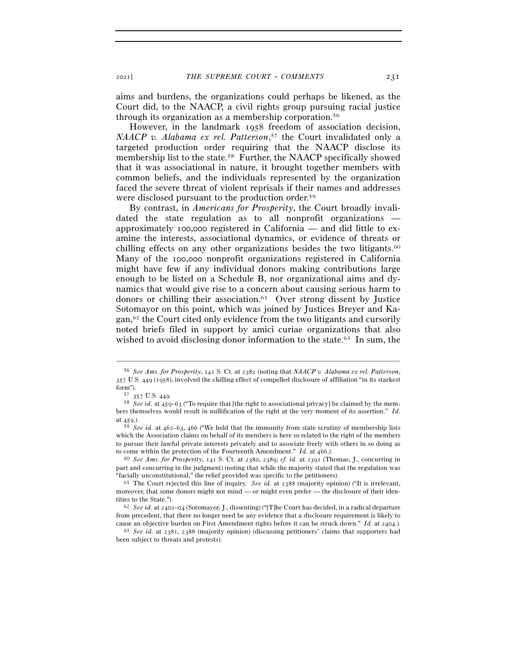aims and burdens, the organizations could perhaps be likened, as the Court did, to the NAACP, a civil rights group pursuing racial justice through its organization as a membership corporation.56

However, in the landmark 1958 freedom of association decision, *NAACP v. Alabama ex rel. Patterson*, 57 the Court invalidated only a targeted production order requiring that the NAACP disclose its membership list to the state.58 Further, the NAACP specifically showed that it was associational in nature, it brought together members with common beliefs, and the individuals represented by the organization faced the severe threat of violent reprisals if their names and addresses were disclosed pursuant to the production order.59

By contrast, in *Americans for Prosperity*, the Court broadly invalidated the state regulation as to all nonprofit organizations approximately 100,000 registered in California — and did little to examine the interests, associational dynamics, or evidence of threats or chilling effects on any other organizations besides the two litigants.60 Many of the 100,000 nonprofit organizations registered in California might have few if any individual donors making contributions large enough to be listed on a Schedule B, nor organizational aims and dynamics that would give rise to a concern about causing serious harm to donors or chilling their association.61 Over strong dissent by Justice Sotomayor on this point, which was joined by Justices Breyer and Kagan,62 the Court cited only evidence from the two litigants and cursorily noted briefs filed in support by amici curiae organizations that also wished to avoid disclosing donor information to the state.<sup>63</sup> In sum, the

–––––––––––––––––––––––––––––––––––––––––––––––––––––––––––––

part and concurring in the judgment) (noting that while the majority stated that the regulation was "facially unconstitutional," the relief provided was specific to the petitioners). 61 The Court rejected this line of inquiry. *See id.* at 2388 (majority opinion) ("It is irrelevant,

<sup>56</sup> *See Ams. for Prosperity*, 141 S. Ct. at 2382 (noting that *NAACP v. Alabama ex rel. Patterson*, 357 U.S. 449 (1958), involved the chilling effect of compelled disclosure of affiliation "in its starkest form").<br><sup>57</sup> 357 U.S. 449.<br><sup>58</sup> *See id.* at 459–63 ("To require that [the right to associational privacy] be claimed by the mem-

bers themselves would result in nullification of the right at the very moment of its assertion." *Id.* at 459.).

<sup>59</sup> *See id.* at 462–63, 466 ("We hold that the immunity from state scrutiny of membership lists which the Association claims on behalf of its members is here so related to the right of the members to pursue their lawful private interests privately and to associate freely with others in so doing as to come within the protection of the Fourteenth Amendment." *Id.* at <sup>466</sup>.). 60 *See Ams. for Prosperity*, 141 S. Ct. at 2380, 2389; *cf. id.* at 2391 (Thomas, J., concurring in

moreover, that some donors might not mind — or might even prefer — the disclosure of their identities to the State."). 62 *See id.* at 2402–04 (Sotomayor, J., dissenting) ("[T]he Court has decided, in a radical departure

from precedent, that there no longer need be any evidence that a disclosure requirement is likely to

cause an objective burden on First Amendment rights before it can be struck down." *Id.* at <sup>2404</sup>.). 63 *See id.* at 2381, 2388 (majority opinion) (discussing petitioners' claims that supporters had been subject to threats and protests).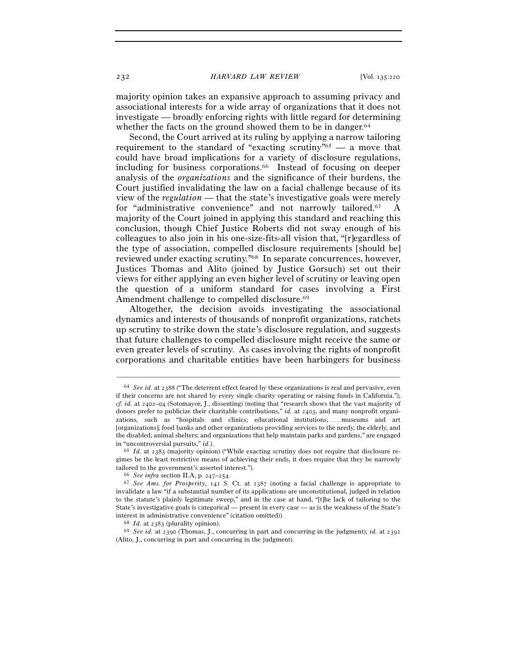majority opinion takes an expansive approach to assuming privacy and associational interests for a wide array of organizations that it does not investigate — broadly enforcing rights with little regard for determining whether the facts on the ground showed them to be in danger.<sup>64</sup>

Second, the Court arrived at its ruling by applying a narrow tailoring requirement to the standard of "exacting scrutiny"<sup>65</sup> — a move that could have broad implications for a variety of disclosure regulations, including for business corporations.<sup>66</sup> Instead of focusing on deeper analysis of the *organizations* and the significance of their burdens, the Court justified invalidating the law on a facial challenge because of its view of the *regulation* — that the state's investigative goals were merely for "administrative convenience" and not narrowly tailored.67 A majority of the Court joined in applying this standard and reaching this conclusion, though Chief Justice Roberts did not sway enough of his colleagues to also join in his one-size-fits-all vision that, "[r]egardless of the type of association, compelled disclosure requirements [should be] reviewed under exacting scrutiny."68 In separate concurrences, however, Justices Thomas and Alito (joined by Justice Gorsuch) set out their views for either applying an even higher level of scrutiny or leaving open the question of a uniform standard for cases involving a First Amendment challenge to compelled disclosure.<sup>69</sup>

Altogether, the decision avoids investigating the associational dynamics and interests of thousands of nonprofit organizations, ratchets up scrutiny to strike down the state's disclosure regulation, and suggests that future challenges to compelled disclosure might receive the same or even greater levels of scrutiny. As cases involving the rights of nonprofit corporations and charitable entities have been harbingers for business

<sup>64</sup> *See id.* at 2388 ("The deterrent effect feared by these organizations is real and pervasive, even if their concerns are not shared by every single charity operating or raising funds in California."); *cf. id.* at 2402–04 (Sotomayor, J., dissenting) (noting that "research shows that the vast majority of donors prefer to publicize their charitable contributions," *id.* at 2403, and many nonprofit organizations, such as "hospitals and clinics; educational institutions; . . . museums and art [organizations]; food banks and other organizations providing services to the needy, the elderly, and the disabled; animal shelters; and organizations that help maintain parks and gardens," are engaged in "uncontroversial pursuits," *id.*). <sup>65</sup> *Id.* at 2383 (majority opinion) ("While exacting scrutiny does not require that disclosure re-

gimes be the least restrictive means of achieving their ends, it does require that they be narrowly tailored to the government's asserted interest.").<br><sup>66</sup> *See infra* section II.A, p. 247–254.<br><sup>67</sup> *See Ams. for Prosperity*, 141 S. Ct. at 2387 (noting a facial challenge is appropriate to

invalidate a law "if a substantial number of its applications are unconstitutional, judged in relation to the statute's plainly legitimate sweep," and in the case at hand, "[t]he lack of tailoring to the State's investigative goals is categorical — present in every case — as is the weakness of the State's

interest in administrative convenience" (citation omitted)).<br><sup>68</sup> *Id.* at 2383 (plurality opinion).<br><sup>69</sup> *See id.* at 2390 (Thomas, J., concurring in part and concurring in the judgment); *id.* at 2392 (Alito, J., concurring in part and concurring in the judgment).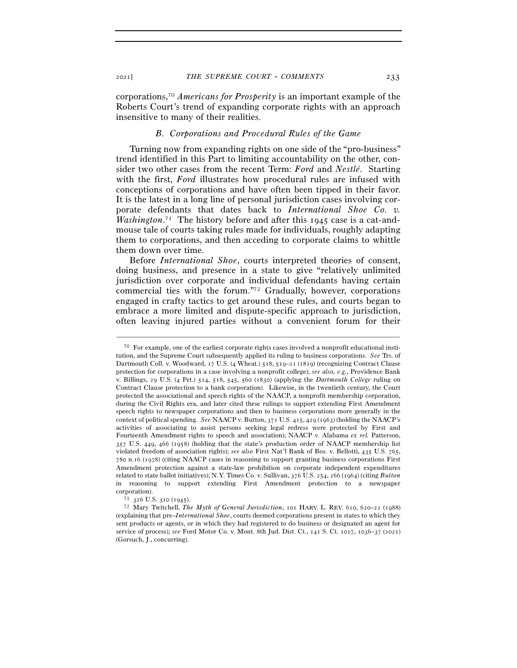corporations,70 *Americans for Prosperity* is an important example of the Roberts Court's trend of expanding corporate rights with an approach insensitive to many of their realities.

## *B. Corporations and Procedural Rules of the Game*

Turning now from expanding rights on one side of the "pro-business" trend identified in this Part to limiting accountability on the other, consider two other cases from the recent Term: *Ford* and *Nestlé*. Starting with the first, *Ford* illustrates how procedural rules are infused with conceptions of corporations and have often been tipped in their favor. It is the latest in a long line of personal jurisdiction cases involving corporate defendants that dates back to *International Shoe Co. v. Washington*.<sup>71</sup> The history before and after this 1945 case is a cat-andmouse tale of courts taking rules made for individuals, roughly adapting them to corporations, and then acceding to corporate claims to whittle them down over time.

Before *International Shoe*, courts interpreted theories of consent, doing business, and presence in a state to give "relatively unlimited jurisdiction over corporate and individual defendants having certain commercial ties with the forum."72 Gradually, however, corporations engaged in crafty tactics to get around these rules, and courts began to embrace a more limited and dispute-specific approach to jurisdiction, often leaving injured parties without a convenient forum for their

<sup>70</sup> For example, one of the earliest corporate rights cases involved a nonprofit educational institution, and the Supreme Court subsequently applied its ruling to business corporations. *See* Trs. of Dartmouth Coll. v. Woodward, 17 U.S. (4 Wheat.) 518, 519–21 (1819) (recognizing Contract Clause protection for corporations in a case involving a nonprofit college); *see also, e.g.*, Providence Bank v. Billings, 29 U.S. (4 Pet.) 514, 518, 545, 560 (1830) (applying the *Dartmouth College* ruling on Contract Clause protection to a bank corporation). Likewise, in the twentieth century, the Court protected the associational and speech rights of the NAACP, a nonprofit membership corporation, during the Civil Rights era, and later cited these rulings to support extending First Amendment speech rights to newspaper corporations and then to business corporations more generally in the context of political spending. *See* NAACP v. Button, 371 U.S. 415, 429 (1963) (holding the NAACP's activities of associating to assist persons seeking legal redress were protected by First and Fourteenth Amendment rights to speech and association); NAACP v. Alabama *ex rel.* Patterson, 357 U.S. 449, 466 (1958) (holding that the state's production order of NAACP membership list violated freedom of association rights); *see also* First Nat'l Bank of Bos. v. Bellotti, 435 U.S. 765, 780 n.16 (1978) (citing NAACP cases in reasoning to support granting business corporations First Amendment protection against a state-law prohibition on corporate independent expenditures related to state ballot initiatives); N.Y. Times Co. v. Sullivan, 376 U.S. 254, 266 (1964) (citing *Button* in reasoning to support extending First Amendment protection to a newspaper corporation). 71 <sup>326</sup> U.S. 310 (<sup>1945</sup>). 72 Mary Twitchell, *The Myth of General Jurisdiction*, 101 HARV. L. REV. 610, 620–22 (1988)

<sup>(</sup>explaining that pre–*International Shoe*, courts deemed corporations present in states to which they sent products or agents, or in which they had registered to do business or designated an agent for service of process); *see* Ford Motor Co. v. Mont. 8th Jud. Dist. Ct., 141 S. Ct. 1017, 1036–37 (2021) (Gorsuch, J., concurring).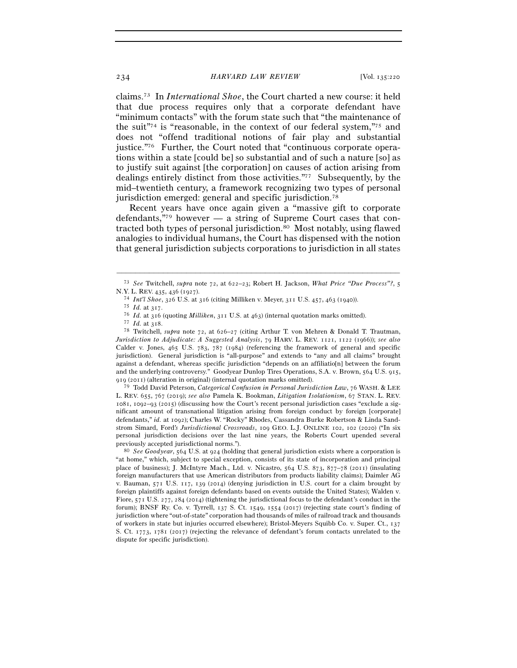claims.73 In *International Shoe*, the Court charted a new course: it held that due process requires only that a corporate defendant have "minimum contacts" with the forum state such that "the maintenance of the suit<sup> $\frac{1}{2}$ </sup> is "reasonable, in the context of our federal system,"<sup>75</sup> and does not "offend traditional notions of fair play and substantial justice."<sup>76</sup> Further, the Court noted that "continuous corporate operations within a state [could be] so substantial and of such a nature [so] as to justify suit against [the corporation] on causes of action arising from dealings entirely distinct from those activities."77 Subsequently, by the mid–twentieth century, a framework recognizing two types of personal jurisdiction emerged: general and specific jurisdiction.78

Recent years have once again given a "massive gift to corporate defendants,"79 however — a string of Supreme Court cases that contracted both types of personal jurisdiction.<sup>80</sup> Most notably, using flawed analogies to individual humans, the Court has dispensed with the notion that general jurisdiction subjects corporations to jurisdiction in all states

<sup>79</sup> Todd David Peterson, *Categorical Confusion in Personal Jurisdiction Law*, 76 WASH. & LEE L. REV. 655, 767 (2019); *see also* Pamela K. Bookman, *Litigation Isolationism*, 67 STAN. L. REV. 1081, 1092–93 (2015) (discussing how the Court's recent personal jurisdiction cases "exclude a significant amount of transnational litigation arising from foreign conduct by foreign [corporate] defendants," *id.* at 1092); Charles W. "Rocky" Rhodes, Cassandra Burke Robertson & Linda Sandstrom Simard, Ford*'s Jurisdictional Crossroads*, 109 GEO. L.J. ONLINE 102, 102 (2020) ("In six personal jurisdiction decisions over the last nine years, the Roberts Court upended several

previously accepted jurisdictional norms."). 80 *See Goodyear*, 564 U.S. at 924 (holding that general jurisdiction exists where a corporation is "at home," which, subject to special exception, consists of its state of incorporation and principal place of business); J. McIntyre Mach., Ltd. v. Nicastro, 564 U.S. 873, 877–78 (2011) (insulating foreign manufacturers that use American distributors from products liability claims); Daimler AG v. Bauman, 571 U.S. 117, 139 (2014) (denying jurisdiction in U.S. court for a claim brought by foreign plaintiffs against foreign defendants based on events outside the United States); Walden v. Fiore, 571 U.S. 277, 284 (2014) (tightening the jurisdictional focus to the defendant's conduct in the forum); BNSF Ry. Co. v. Tyrrell,  $137$  S. Ct. 1549, 1554 (2017) (rejecting state court's finding of jurisdiction where "out-of-state" corporation had thousands of miles of railroad track and thousands of workers in state but injuries occurred elsewhere); Bristol-Meyers Squibb Co. v. Super. Ct., 137 S. Ct. 1773, 1781 (2017) (rejecting the relevance of defendant's forum contacts unrelated to the dispute for specific jurisdiction).

<sup>–––––––––––––––––––––––––––––––––––––––––––––––––––––––––––––</sup> <sup>73</sup> *See* Twitchell, *supra* note 72, at 622–23; Robert H. Jackson, *What Price "Due Process"?*, 5 N.Y. L. REV. 435, 436 (1927).<br>
<sup>74</sup> *Int'l Shoe*, 326 U.S. at 316 (citing Milliken v. Meyer, 311 U.S. 457, 463 (1940)).<br>
<sup>75</sup> *Id.* at 317.<br>
<sup>76</sup> *Id.* at 316 (quoting *Milliken*, 311 U.S. at 463) (internal quotation mark

*Jurisdiction to Adjudicate: A Suggested Analysis*, 79 HARV. L. REV. 1121, 1122 (1966)); *see also* Calder v. Jones, 465 U.S. 783, 787 (1984) (referencing the framework of general and specific jurisdiction). General jurisdiction is "all-purpose" and extends to "any and all claims" brought against a defendant, whereas specific jurisdiction "depends on an affiliatio[n] between the forum and the underlying controversy." Goodyear Dunlop Tires Operations, S.A. v. Brown, 564 U.S. 915, 919 (2011) (alteration in original) (internal quotation marks omitted).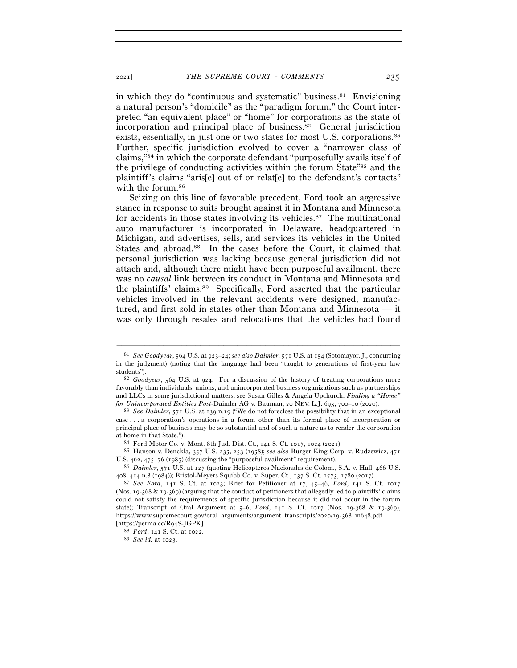in which they do "continuous and systematic" business.<sup>81</sup> Envisioning a natural person's "domicile" as the "paradigm forum," the Court interpreted "an equivalent place" or "home" for corporations as the state of incorporation and principal place of business.82 General jurisdiction exists, essentially, in just one or two states for most U.S. corporations.<sup>83</sup> Further, specific jurisdiction evolved to cover a "narrower class of claims,"84 in which the corporate defendant "purposefully avails itself of the privilege of conducting activities within the forum State"85 and the plaintiff's claims "aris[e] out of or relat[e] to the defendant's contacts" with the forum.86

Seizing on this line of favorable precedent, Ford took an aggressive stance in response to suits brought against it in Montana and Minnesota for accidents in those states involving its vehicles.87 The multinational auto manufacturer is incorporated in Delaware, headquartered in Michigan, and advertises, sells, and services its vehicles in the United States and abroad.<sup>88</sup> In the cases before the Court, it claimed that personal jurisdiction was lacking because general jurisdiction did not attach and, although there might have been purposeful availment, there was no *causal* link between its conduct in Montana and Minnesota and the plaintiffs' claims.89 Specifically, Ford asserted that the particular vehicles involved in the relevant accidents were designed, manufactured, and first sold in states other than Montana and Minnesota — it was only through resales and relocations that the vehicles had found

<sup>81</sup> *See Goodyear*, 564 U.S. at 923–24; *see also Daimler*, 571 U.S. at 154 (Sotomayor, J., concurring in the judgment) (noting that the language had been "taught to generations of first-year law

students"). 82 *Goodyear*, 564 U.S. at 924. For a discussion of the history of treating corporations more favorably than individuals, unions, and unincorporated business organizations such as partnerships and LLCs in some jurisdictional matters, see Susan Gilles & Angela Upchurch, *Finding a "Home" for Unincorporated Entities Post-*Daimler AG v. Bauman, 20 NEV. L.J. 693, 700–10 (<sup>2020</sup>). 83 *See Daimler*, 571 U.S. at 139 n.19 ("We do not foreclose the possibility that in an exceptional

case . . . a corporation's operations in a forum other than its formal place of incorporation or principal place of business may be so substantial and of such a nature as to render the corporation at home in that State."). 84 Ford Motor Co. v. Mont. 8th Jud. Dist. Ct., 141 S. Ct. 1017, 1024 (<sup>2021</sup>). 85 Hanson v. Denckla, 357 U.S. 235, 253 (1958); *see also* Burger King Corp. v. Rudzewicz, <sup>471</sup>

U.S. 462, 475–76 (<sup>1985</sup>) (discussing the "purposeful availment" requirement). 86 *Daimler*, 571 U.S. at 127 (quoting Helicopteros Nacionales de Colom., S.A. v. Hall, 466 U.S.

<sup>408</sup>, 414 n.8 (1984)); Bristol-Meyers Squibb Co. v. Super. Ct., 137 S. Ct. 1773, 1780 (<sup>2017</sup>). 87 *See Ford*, 141 S. Ct. at 1023; Brief for Petitioner at 17, 45–46, *Ford*, 141 S. Ct. <sup>1017</sup>

<sup>(</sup>Nos. 19-368 & 19-369) (arguing that the conduct of petitioners that allegedly led to plaintiffs' claims could not satisfy the requirements of specific jurisdiction because it did not occur in the forum state); Transcript of Oral Argument at 5–6, *Ford*, 141 S. Ct. 1017 (Nos. 19-368 & 19-369), https://www.supremecourt.gov/oral\_arguments/argument\_transcripts/2020/19-368\_m648.pdf [https://perma.cc/R<sup>94</sup>S-JGPK]. 88 *Ford*, 141 S. Ct. at <sup>1022</sup>. 89 *See id.* at 1023.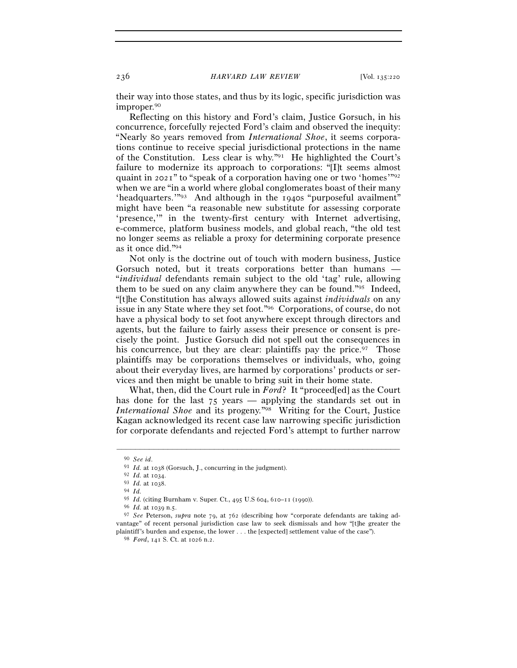their way into those states, and thus by its logic, specific jurisdiction was improper.90

Reflecting on this history and Ford's claim, Justice Gorsuch, in his concurrence, forcefully rejected Ford's claim and observed the inequity: "Nearly 80 years removed from *International Shoe*, it seems corporations continue to receive special jurisdictional protections in the name of the Constitution. Less clear is why."91 He highlighted the Court's failure to modernize its approach to corporations: "[I]t seems almost quaint in 2021" to "speak of a corporation having one or two 'homes'"92 when we are "in a world where global conglomerates boast of their many 'headquarters.'"93 And although in the 1940s "purposeful availment" might have been "a reasonable new substitute for assessing corporate 'presence,'" in the twenty-first century with Internet advertising, e-commerce, platform business models, and global reach, "the old test no longer seems as reliable a proxy for determining corporate presence as it once did."94

Not only is the doctrine out of touch with modern business, Justice Gorsuch noted, but it treats corporations better than humans — "*individual* defendants remain subject to the old 'tag' rule, allowing them to be sued on any claim anywhere they can be found."95 Indeed, "[t]he Constitution has always allowed suits against *individuals* on any issue in any State where they set foot."96 Corporations, of course, do not have a physical body to set foot anywhere except through directors and agents, but the failure to fairly assess their presence or consent is precisely the point. Justice Gorsuch did not spell out the consequences in his concurrence, but they are clear: plaintiffs pay the price.<sup>97</sup> Those plaintiffs may be corporations themselves or individuals, who, going about their everyday lives, are harmed by corporations' products or services and then might be unable to bring suit in their home state.

What, then, did the Court rule in *Ford*? It "proceed[ed] as the Court has done for the last 75 years — applying the standards set out in *International Shoe* and its progeny."98 Writing for the Court, Justice Kagan acknowledged its recent case law narrowing specific jurisdiction for corporate defendants and rejected Ford's attempt to further narrow

<sup>90</sup> *See id*. 91 *Id.* at <sup>1038</sup> (Gorsuch, J., concurring in the judgment). 92 *Id.* at <sup>1034</sup>. 93 *Id.* at <sup>1038</sup>. 94 *Id.*

<sup>95</sup> *Id.* (citing Burnham v. Super. Ct., 495 U.S 604, 610–11 (<sup>1990</sup>)). 96 *Id.* at 1039 n.<sup>5</sup>. 97 *See* Peterson, *supra* note 79, at 762 (describing how "corporate defendants are taking advantage" of recent personal jurisdiction case law to seek dismissals and how "[t]he greater the plaintiff's burden and expense, the lower . . . the [expected] settlement value of the case"). 98 *Ford*, 141 S. Ct. at 1026 n.2.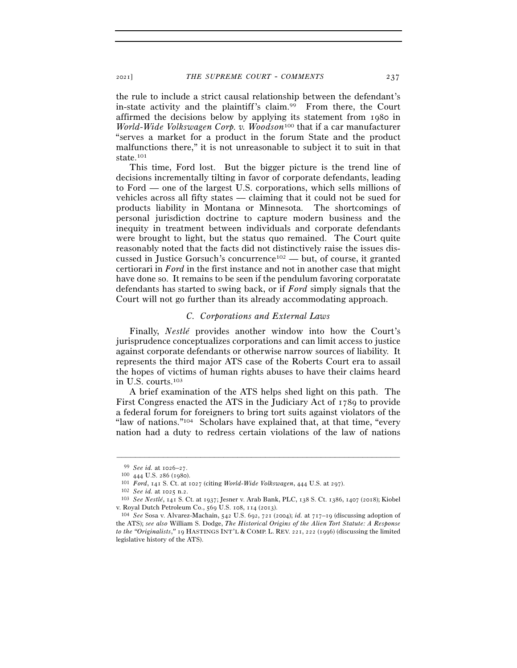the rule to include a strict causal relationship between the defendant's in-state activity and the plaintiff's claim.99 From there, the Court affirmed the decisions below by applying its statement from 1980 in *World-Wide Volkswagen Corp. v. Woodson*100 that if a car manufacturer "serves a market for a product in the forum State and the product malfunctions there," it is not unreasonable to subject it to suit in that state.101

This time, Ford lost. But the bigger picture is the trend line of decisions incrementally tilting in favor of corporate defendants, leading to Ford — one of the largest U.S. corporations, which sells millions of vehicles across all fifty states — claiming that it could not be sued for products liability in Montana or Minnesota. The shortcomings of personal jurisdiction doctrine to capture modern business and the inequity in treatment between individuals and corporate defendants were brought to light, but the status quo remained. The Court quite reasonably noted that the facts did not distinctively raise the issues discussed in Justice Gorsuch's concurrence<sup>102</sup> — but, of course, it granted certiorari in *Ford* in the first instance and not in another case that might have done so. It remains to be seen if the pendulum favoring corporatate defendants has started to swing back, or if *Ford* simply signals that the Court will not go further than its already accommodating approach.

#### *C. Corporations and External Laws*

Finally, *Nestlé* provides another window into how the Court's jurisprudence conceptualizes corporations and can limit access to justice against corporate defendants or otherwise narrow sources of liability. It represents the third major ATS case of the Roberts Court era to assail the hopes of victims of human rights abuses to have their claims heard in U.S. courts.103

A brief examination of the ATS helps shed light on this path. The First Congress enacted the ATS in the Judiciary Act of 1789 to provide a federal forum for foreigners to bring tort suits against violators of the "law of nations."<sup>104</sup> Scholars have explained that, at that time, "every nation had a duty to redress certain violations of the law of nations

<sup>&</sup>lt;sup>99</sup> See id. at 1026–27.<br><sup>100</sup> 444 U.S. 286 (1980).<br><sup>101</sup> Ford, 141 S. Ct. at 1027 (citing *World-Wide Volkswagen*, 444 U.S. at 297).<br><sup>102</sup> See id. at 1025 n.2.<br><sup>103</sup> See Nestlé, 141 S. Ct. at 1937; Jesner v. Arab Bank, P v. Royal Dutch Petroleum Co., 569 U.S. 108, 114 (<sup>2013</sup>). 104 *See* Sosa v. Alvarez-Machain, 542 U.S. 692, 721 (2004); *id.* at 717–19 (discussing adoption of

the ATS); *see also* William S. Dodge, *The Historical Origins of the Alien Tort Statute: A Response to the "Originalists*,*"* 19 HASTINGS INT'L & COMP. L. REV. 221, 222 (1996) (discussing the limited legislative history of the ATS).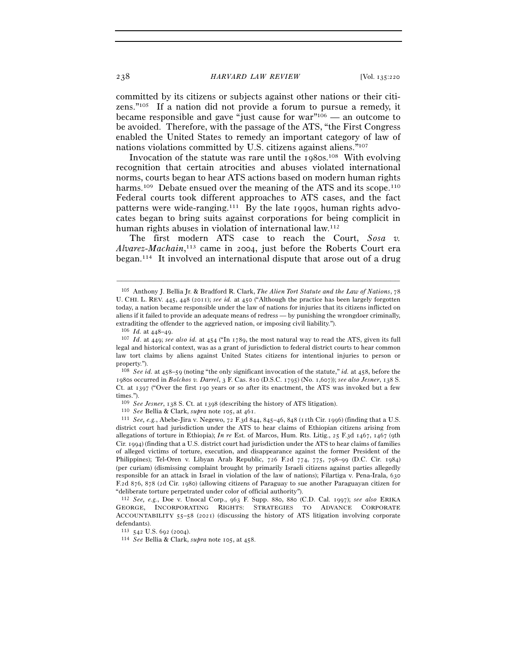committed by its citizens or subjects against other nations or their citizens."105 If a nation did not provide a forum to pursue a remedy, it became responsible and gave "just cause for  $war''<sup>106</sup>$  — an outcome to be avoided. Therefore, with the passage of the ATS, "the First Congress enabled the United States to remedy an important category of law of nations violations committed by U.S. citizens against aliens."107

Invocation of the statute was rare until the 1980s.108 With evolving recognition that certain atrocities and abuses violated international norms, courts began to hear ATS actions based on modern human rights harms.<sup>109</sup> Debate ensued over the meaning of the ATS and its scope.<sup>110</sup> Federal courts took different approaches to ATS cases, and the fact patterns were wide-ranging.111 By the late 1990s, human rights advocates began to bring suits against corporations for being complicit in human rights abuses in violation of international law.<sup>112</sup>

The first modern ATS case to reach the Court, *Sosa v. Alvarez-Machain*, 113 came in 2004, just before the Roberts Court era began.114 It involved an international dispute that arose out of a drug

–––––––––––––––––––––––––––––––––––––––––––––––––––––––––––––

<sup>108</sup> *See id.* at 458–59 (noting "the only significant invocation of the statute," *id.* at 458, before the 1980s occurred in *Bolchos v. Darrel*, 3 F. Cas. 810 (D.S.C. 1795) (No. 1,607)); *see also Jesner*, 138 S. Ct. at 1397 ("Over the first 190 years or so after its enactment, the ATS was invoked but a few times.").

 $^{109}$   $See$   $Jesner$ , 138 S. Ct. at 1398 (describing the history of ATS litigation).  $^{110}$   $See$  Bellia & Clark,  $supra$  note 105, at 461.  $^{111}$   $See,$   $e.g.,$  Abebe-Jira v. Negewo, 72 F.3d 844, 845–46, 848 (11th Cir. 1996) (find district court had jurisdiction under the ATS to hear claims of Ethiopian citizens arising from allegations of torture in Ethiopia); *In re* Est. of Marcos, Hum. Rts. Litig., 25 F.3d 1467, 1467 (9th Cir. 1994) (finding that a U.S. district court had jurisdiction under the ATS to hear claims of families of alleged victims of torture, execution, and disappearance against the former President of the Philippines); Tel-Oren v. Libyan Arab Republic, 726 F.2d 774, 775, 798–99 (D.C. Cir. 1984) (per curiam) (dismissing complaint brought by primarily Israeli citizens against parties allegedly responsible for an attack in Israel in violation of the law of nations); Filartiga v. Pena-Irala, 630 F.2d 876, 878 (2d Cir. 1980) (allowing citizens of Paraguay to sue another Paraguayan citizen for "deliberate torture perpetrated under color of official authority").

<sup>112</sup> *See, e.g.*, Doe v. Unocal Corp., 963 F. Supp. 880, 880 (C.D. Cal. 1997); *see also* ERIKA GEORGE, INCORPORATING RIGHTS: STRATEGIES TO ADVANCE CORPORATE ACCOUNTABILITY 55–58 (2021) (discussing the history of ATS litigation involving corporate defendants).<br> $113 \, 542 \, \text{U.S. } 692 \, (2004).$ 

<sup>113</sup> <sup>542</sup> U.S. 692 (<sup>2004</sup>). 114 *See* Bellia & Clark, *supra* note 105, at 458.

<sup>105</sup> Anthony J. Bellia Jr. & Bradford R. Clark, *The Alien Tort Statute and the Law of Nations*, 78 U. CHI. L. REV. 445, 448 (2011); *see id.* at 450 ("Although the practice has been largely forgotten today, a nation became responsible under the law of nations for injuries that its citizens inflicted on aliens if it failed to provide an adequate means of redress — by punishing the wrongdoer criminally, extraditing the offender to the aggrieved nation, or imposing civil liability.").

<sup>106</sup> *Id.* at 448–<sup>49</sup>. 107 *Id*. at 449; *see also id.* at 454 ("In 1789, the most natural way to read the ATS, given its full legal and historical context, was as a grant of jurisdiction to federal district courts to hear common law tort claims by aliens against United States citizens for intentional injuries to person or property.").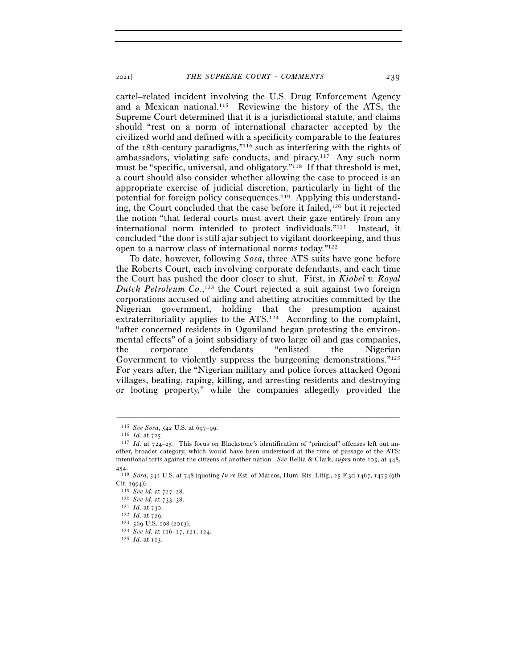cartel–related incident involving the U.S. Drug Enforcement Agency and a Mexican national.115 Reviewing the history of the ATS, the Supreme Court determined that it is a jurisdictional statute, and claims should "rest on a norm of international character accepted by the civilized world and defined with a specificity comparable to the features of the 18th-century paradigms,"116 such as interfering with the rights of ambassadors, violating safe conducts, and piracy.117 Any such norm must be "specific, universal, and obligatory."<sup>118</sup> If that threshold is met, a court should also consider whether allowing the case to proceed is an appropriate exercise of judicial discretion, particularly in light of the potential for foreign policy consequences.119 Applying this understanding, the Court concluded that the case before it failed,120 but it rejected the notion "that federal courts must avert their gaze entirely from any international norm intended to protect individuals."121 Instead, it concluded "the door is still ajar subject to vigilant doorkeeping, and thus open to a narrow class of international norms today."122

To date, however, following *Sosa*, three ATS suits have gone before the Roberts Court, each involving corporate defendants, and each time the Court has pushed the door closer to shut. First, in *Kiobel v. Royal Dutch Petroleum Co.*, 123 the Court rejected a suit against two foreign corporations accused of aiding and abetting atrocities committed by the Nigerian government, holding that the presumption against extraterritoriality applies to the ATS.124 According to the complaint, "after concerned residents in Ogoniland began protesting the environmental effects" of a joint subsidiary of two large oil and gas companies, the corporate defendants "enlisted the Nigerian Government to violently suppress the burgeoning demonstrations."<sup>125</sup> For years after, the "Nigerian military and police forces attacked Ogoni villages, beating, raping, killing, and arresting residents and destroying or looting property," while the companies allegedly provided the

<sup>115</sup> *See Sosa*, 542 U.S. at 697–<sup>99</sup>. 116 *Id.* at <sup>725</sup>. 117 *Id.* at 724–25. This focus on Blackstone's identification of "principal" offenses left out another, broader category, which would have been understood at the time of passage of the ATS: intentional torts against the citizens of another nation. *See* Bellia & Clark, *supra* note 105, at 448,  $454.$ 

<sup>118</sup> *Sosa*, 542 U.S. at 748 (quoting *In re* Est. of Marcos, Hum. Rts. Litig., 25 F.3d 1467, 1475 (9th Cir. 1994)).<br>
<sup>119</sup> *See id.* at 727–28.<br>
<sup>120</sup> *See id.* at 733–38.<br>
<sup>121</sup> *Id.* at 730.<br>
<sup>122</sup> *Id.* at 729.<br>
<sup>123</sup> 569 U.S. 108 (2013).<br>
<sup>124</sup> *See id.* at 116–17, 121, 124.<br>
<sup>125</sup> *Id.* at 113.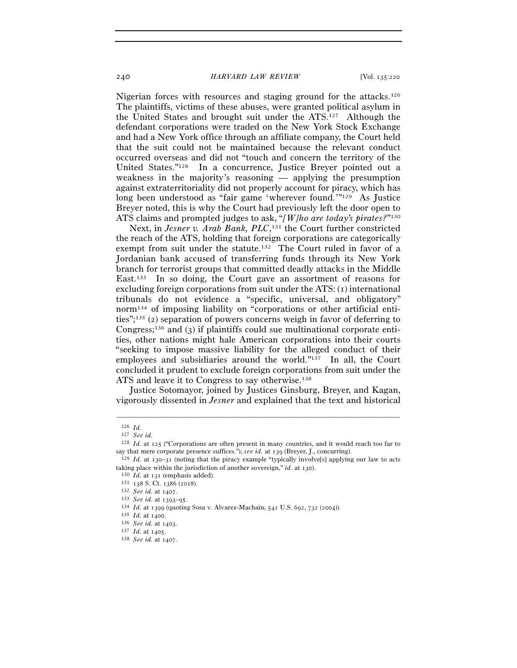Nigerian forces with resources and staging ground for the attacks.126 The plaintiffs, victims of these abuses, were granted political asylum in the United States and brought suit under the ATS.127 Although the defendant corporations were traded on the New York Stock Exchange and had a New York office through an affiliate company, the Court held that the suit could not be maintained because the relevant conduct occurred overseas and did not "touch and concern the territory of the United States."128 In a concurrence, Justice Breyer pointed out a weakness in the majority's reasoning — applying the presumption against extraterritoriality did not properly account for piracy, which has long been understood as "fair game 'wherever found.'"129 As Justice Breyer noted, this is why the Court had previously left the door open to ATS claims and prompted judges to ask, "*[W]ho are today's pirates?*"130

Next, in *Jesner v. Arab Bank*, *PLC*,<sup>131</sup> the Court further constricted the reach of the ATS, holding that foreign corporations are categorically exempt from suit under the statute.<sup>132</sup> The Court ruled in favor of a Jordanian bank accused of transferring funds through its New York branch for terrorist groups that committed deadly attacks in the Middle East.133 In so doing, the Court gave an assortment of reasons for excluding foreign corporations from suit under the ATS:  $(i)$  international tribunals do not evidence a "specific, universal, and obligatory" norm134 of imposing liability on "corporations or other artificial entities";135 (2) separation of powers concerns weigh in favor of deferring to Congress;<sup>136</sup> and (3) if plaintiffs could sue multinational corporate entities, other nations might hale American corporations into their courts "seeking to impose massive liability for the alleged conduct of their employees and subsidiaries around the world."137 In all, the Court concluded it prudent to exclude foreign corporations from suit under the ATS and leave it to Congress to say otherwise.<sup>138</sup>

Justice Sotomayor, joined by Justices Ginsburg, Breyer, and Kagan, vigorously dissented in *Jesner* and explained that the text and historical

<sup>126</sup> *Id.* 127 *See id.*

<sup>128</sup> *Id.* at 125 ("Corporations are often present in many countries, and it would reach too far to say that mere corporate presence suffices."); *see id.* at <sup>139</sup> (Breyer, J., concurring). 129 *Id.* at 130–31 (noting that the piracy example "typically involve[s] applying our law to acts

taking place within the jurisdiction of another sovereign," *id.* at 130).<br>
<sup>130</sup> *Id.* at 131 (emphasis added).<br>
<sup>131</sup> 138 S. Ct. 1386 (2018).<br>
<sup>132</sup> *See id.* at 1407.<br>
<sup>133</sup> *See id.* at 1393–95.<br>
<sup>134</sup> *Id.* at 1399 (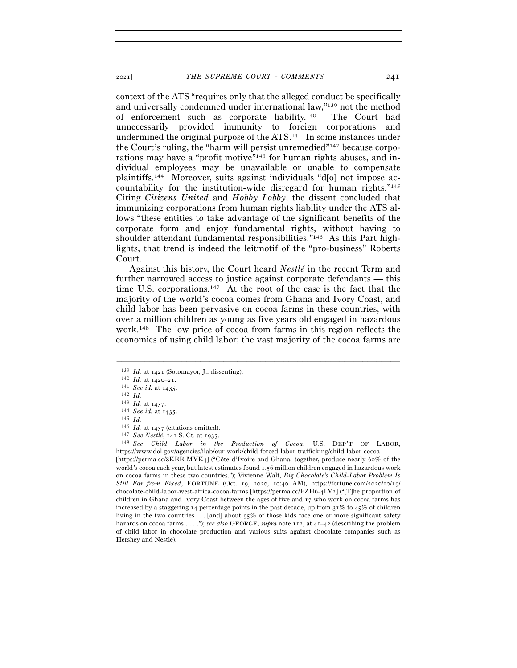context of the ATS "requires only that the alleged conduct be specifically and universally condemned under international law,"139 not the method of enforcement such as corporate liability.140 The Court had unnecessarily provided immunity to foreign corporations and undermined the original purpose of the ATS.141 In some instances under the Court's ruling, the "harm will persist unremedied"142 because corporations may have a "profit motive"<sup>143</sup> for human rights abuses, and individual employees may be unavailable or unable to compensate plaintiffs.144 Moreover, suits against individuals "d[o] not impose accountability for the institution-wide disregard for human rights."145 Citing *Citizens United* and *Hobby Lobby*, the dissent concluded that immunizing corporations from human rights liability under the ATS allows "these entities to take advantage of the significant benefits of the corporate form and enjoy fundamental rights, without having to shoulder attendant fundamental responsibilities."146 As this Part highlights, that trend is indeed the leitmotif of the "pro-business" Roberts Court.

Against this history, the Court heard *Nestlé* in the recent Term and further narrowed access to justice against corporate defendants — this time U.S. corporations.147 At the root of the case is the fact that the majority of the world's cocoa comes from Ghana and Ivory Coast, and child labor has been pervasive on cocoa farms in these countries, with over a million children as young as five years old engaged in hazardous work.148 The low price of cocoa from farms in this region reflects the economics of using child labor; the vast majority of the cocoa farms are

–––––––––––––––––––––––––––––––––––––––––––––––––––––––––––––

[https://perma.cc/8KBB-MYK4] ("Côte d'Ivoire and Ghana, together, produce nearly 60% of the world's cocoa each year, but latest estimates found 1.56 million children engaged in hazardous work on cocoa farms in these two countries."); Vivienne Walt, *Big Chocolate's Child-Labor Problem Is Still Far from Fixed*, FORTUNE (Oct. 19, 2020, 10:40 AM), https://fortune.com/2020/10/19/ chocolate-child-labor-west-africa-cocoa-farms [https://perma.cc/FZH6-4LY2] ("[T]he proportion of children in Ghana and Ivory Coast between the ages of five and 17 who work on cocoa farms has increased by a staggering  $I_4$  percentage points in the past decade, up from  $31\%$  to  $45\%$  of children living in the two countries . . . [and] about 95% of those kids face one or more significant safety hazards on cocoa farms . . . ."); *see also* GEORGE, *supra* note 112, at 41–42 (describing the problem of child labor in chocolate production and various suits against chocolate companies such as Hershey and Nestlé).

<sup>139</sup> *Id.* at <sup>1421</sup> (Sotomayor, J., dissenting). 140 *Id.* at 1420–21.

<sup>141</sup> *See id.* at <sup>1435</sup>. 142 *Id.*

<sup>&</sup>lt;sup>144</sup> See id. at 1435.<br>
<sup>145</sup> *Id.* at 1437 (citations omitted).<br>
<sup>146</sup> *Id.* at 1437 (citations omitted).<br>
<sup>147</sup> See Nestlé, 141 S. Ct. at 1935.<br>
<sup>148</sup> See Child Labor in the Production of Cocoa, U.S. DEP'T OF LABOR, https://www.dol.gov/agencies/ilab/our-work/child-forced-labor-trafficking/child-labor-cocoa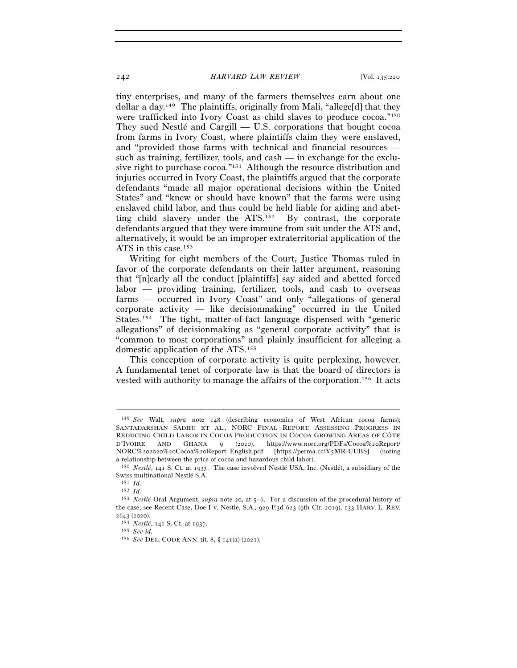tiny enterprises, and many of the farmers themselves earn about one dollar a day.149 The plaintiffs, originally from Mali, "allege[d] that they were trafficked into Ivory Coast as child slaves to produce cocoa."150 They sued Nestlé and Cargill — U.S. corporations that bought cocoa from farms in Ivory Coast, where plaintiffs claim they were enslaved, and "provided those farms with technical and financial resources such as training, fertilizer, tools, and cash — in exchange for the exclusive right to purchase cocoa."151 Although the resource distribution and injuries occurred in Ivory Coast, the plaintiffs argued that the corporate defendants "made all major operational decisions within the United States" and "knew or should have known" that the farms were using enslaved child labor, and thus could be held liable for aiding and abetting child slavery under the ATS.152 By contrast, the corporate defendants argued that they were immune from suit under the ATS and, alternatively, it would be an improper extraterritorial application of the ATS in this case.153

Writing for eight members of the Court, Justice Thomas ruled in favor of the corporate defendants on their latter argument, reasoning that "[n]early all the conduct [plaintiffs] say aided and abetted forced labor — providing training, fertilizer, tools, and cash to overseas farms — occurred in Ivory Coast" and only "allegations of general corporate activity — like decisionmaking" occurred in the United States.154 The tight, matter-of-fact language dispensed with "generic allegations" of decisionmaking as "general corporate activity" that is "common to most corporations" and plainly insufficient for alleging a domestic application of the ATS.155

This conception of corporate activity is quite perplexing, however. A fundamental tenet of corporate law is that the board of directors is vested with authority to manage the affairs of the corporation.156 It acts

<sup>149</sup> *See* Walt, *supra* note 148 (describing economics of West African cocoa farms); SANTADARSHAN SADHU ET AL., NORC FINAL REPORT: ASSESSING PROGRESS IN REDUCING CHILD LABOR IN COCOA PRODUCTION IN COCOA GROWING AREAS OF CÔTE D'IVOIRE AND GHANA 9 (2020), https://www.norc.org/PDFs/Cocoa%20Report/ NORC%202020%20Cocoa%20Report\_English.pdf [https://perma.cc/Y5MR-UUBS] (noting a relationship between the price of cocoa and hazardous child labor).

<sup>150</sup> *Nestlé*, 141 S. Ct. at 1935. The case involved Nestlé USA, Inc. (Nestlé), a subsidiary of the Swiss multinational Nestlé S.A.

<sup>151</sup> *Id.*

<sup>152</sup> *Id.*

<sup>153</sup> *Nestlé* Oral Argument, *supra* note 20, at 5–6. For a discussion of the procedural history of the case, see Recent Case, Doe I v. Nestle, S.A.*,* 929 F.3d 623 (9th Cir. 2019), 133 HARV. L. REV. <sup>2643</sup> (<sup>2020</sup>). 154 *Nestlé*, 141 S. Ct. at <sup>1937</sup>. 155 *See id.* 

<sup>156</sup> *See* DEL. CODE ANN. tit. 8, § 141(a) (2021).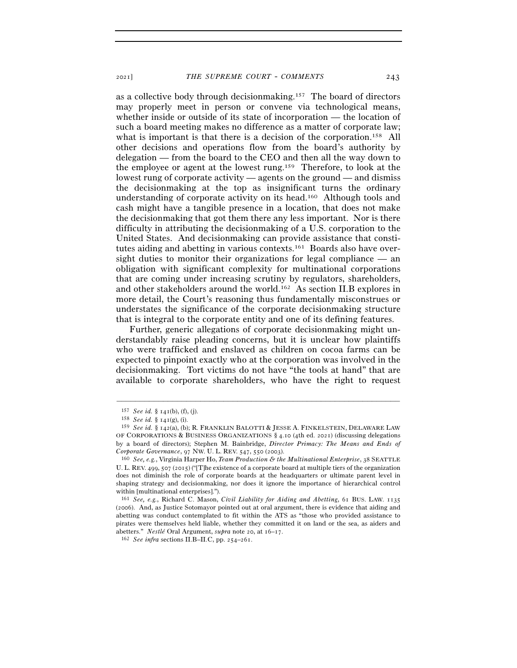as a collective body through decisionmaking.157 The board of directors may properly meet in person or convene via technological means, whether inside or outside of its state of incorporation — the location of such a board meeting makes no difference as a matter of corporate law; what is important is that there is a decision of the corporation.<sup>158</sup> All other decisions and operations flow from the board's authority by delegation — from the board to the CEO and then all the way down to the employee or agent at the lowest rung.159 Therefore, to look at the lowest rung of corporate activity — agents on the ground — and dismiss the decisionmaking at the top as insignificant turns the ordinary understanding of corporate activity on its head.160 Although tools and cash might have a tangible presence in a location, that does not make the decisionmaking that got them there any less important. Nor is there difficulty in attributing the decisionmaking of a U.S. corporation to the United States. And decisionmaking can provide assistance that constitutes aiding and abetting in various contexts.161 Boards also have oversight duties to monitor their organizations for legal compliance — an obligation with significant complexity for multinational corporations that are coming under increasing scrutiny by regulators, shareholders, and other stakeholders around the world.162 As section II.B explores in more detail, the Court's reasoning thus fundamentally misconstrues or understates the significance of the corporate decisionmaking structure that is integral to the corporate entity and one of its defining features.

Further, generic allegations of corporate decisionmaking might understandably raise pleading concerns, but it is unclear how plaintiffs who were trafficked and enslaved as children on cocoa farms can be expected to pinpoint exactly who at the corporation was involved in the decisionmaking. Tort victims do not have "the tools at hand" that are available to corporate shareholders, who have the right to request

<sup>157</sup> *See id.* § <sup>141</sup>(b), (f), (j). 158 *See id.* § <sup>141</sup>(g), (i).

<sup>159</sup> *See id.* § 142(a), (b); R. FRANKLIN BALOTTI & JESSE A. FINKELSTEIN, DELAWARE LAW OF CORPORATIONS & BUSINESS ORGANIZATIONS § 4.10 (4th ed. 2021) (discussing delegations by a board of directors); Stephen M. Bainbridge, *Director Primacy: The Means and Ends of Corporate Governance*, 97 NW. U. L. REV. 547, 550 (<sup>2003</sup>). 160 *See, e.g.*, Virginia Harper Ho, *Team Production & the Multinational Enterprise*, 38 SEATTLE

U. L. REV. 499, 507 (2015) ("[T]he existence of a corporate board at multiple tiers of the organization does not diminish the role of corporate boards at the headquarters or ultimate parent level in shaping strategy and decisionmaking, nor does it ignore the importance of hierarchical control within [multinational enterprises].").

<sup>161</sup> *See, e.g.*, Richard C. Mason, *Civil Liability for Aiding and Abetting*, 61 BUS. LAW. 1135 (2006). And, as Justice Sotomayor pointed out at oral argument, there is evidence that aiding and abetting was conduct contemplated to fit within the ATS as "those who provided assistance to pirates were themselves held liable, whether they committed it on land or the sea, as aiders and abetters." *Nestlé* Oral Argument, *supra* note 20, at 16–<sup>17</sup>. 162 *See infra* sections II.B–II.C, pp. 254–261.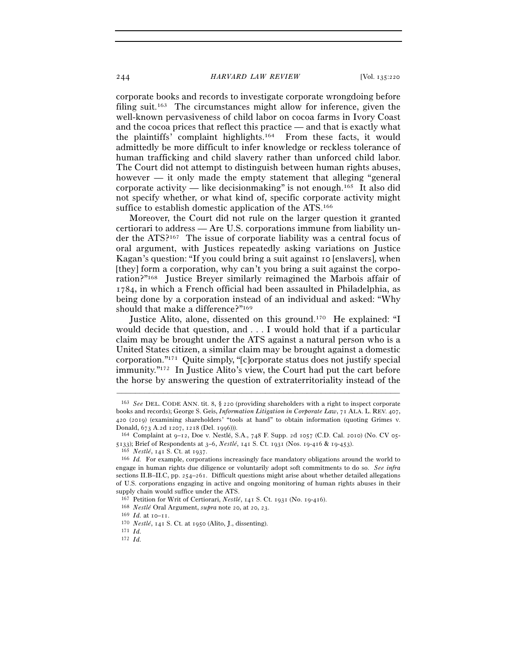corporate books and records to investigate corporate wrongdoing before filing suit.<sup>163</sup> The circumstances might allow for inference, given the well-known pervasiveness of child labor on cocoa farms in Ivory Coast and the cocoa prices that reflect this practice — and that is exactly what the plaintiffs' complaint highlights.164 From these facts, it would admittedly be more difficult to infer knowledge or reckless tolerance of human trafficking and child slavery rather than unforced child labor. The Court did not attempt to distinguish between human rights abuses, however — it only made the empty statement that alleging "general corporate activity — like decision making" is not enough.<sup>165</sup> It also did not specify whether, or what kind of, specific corporate activity might suffice to establish domestic application of the ATS.166

Moreover, the Court did not rule on the larger question it granted certiorari to address — Are U.S. corporations immune from liability under the ATS?167 The issue of corporate liability was a central focus of oral argument, with Justices repeatedly asking variations on Justice Kagan's question: "If you could bring a suit against 10 [enslavers], when [they] form a corporation, why can't you bring a suit against the corporation?"168 Justice Breyer similarly reimagined the Marbois affair of 1784, in which a French official had been assaulted in Philadelphia, as being done by a corporation instead of an individual and asked: "Why should that make a difference?"169

Justice Alito, alone, dissented on this ground.170 He explained: "I would decide that question, and . . . I would hold that if a particular claim may be brought under the ATS against a natural person who is a United States citizen, a similar claim may be brought against a domestic corporation."171 Quite simply, "[c]orporate status does not justify special immunity."172 In Justice Alito's view, the Court had put the cart before the horse by answering the question of extraterritoriality instead of the

<sup>163</sup> *See* DEL. CODE ANN. tit. 8, § 220 (providing shareholders with a right to inspect corporate books and records); George S. Geis, *Information Litigation in Corporate Law*, 71 ALA. L. REV. 407, 420 (2019) (examining shareholders' "tools at hand" to obtain information (quoting Grimes v. Donald, 673 A.2d 1207, 1218 (Del. <sup>1996</sup>))). 164 Complaint at 9–12, Doe v. Nestlé, S.A., 748 F. Supp. 2d 1057 (C.D. Cal. 2010) (No. CV 05-

<sup>5133);</sup> Brief of Respondents at 3–6, *Nestlé*, 141 S. Ct. 1931 (Nos. 19-416 & 19-453).<br><sup>165</sup> *Nestlé*, 141 S. Ct. at 1937.<br><sup>165</sup> *Id.* For example, corporations increasingly face mandatory obligations around the world to

engage in human rights due diligence or voluntarily adopt soft commitments to do so. *See infra* sections II.B–II.C, pp. 254–261. Difficult questions might arise about whether detailed allegations of U.S. corporations engaging in active and ongoing monitoring of human rights abuses in their supply chain would suffice under the ATS.

<sup>&</sup>lt;sup>167</sup> Petition for Writ of Certiorari, *Nestlé*, 141 S. Ct. 1931 (No. 19-416).<br><sup>168</sup> *Nestlé* Oral Argument, *supra* note 20, at 20, 23.<br><sup>169</sup> *Id.* at 10–11.<br><sup>170</sup> *Nestlé*, 141 S. Ct. at 1950 (Alito, J., dissenting).<br><sup>1</sup>

<sup>172</sup> *Id.*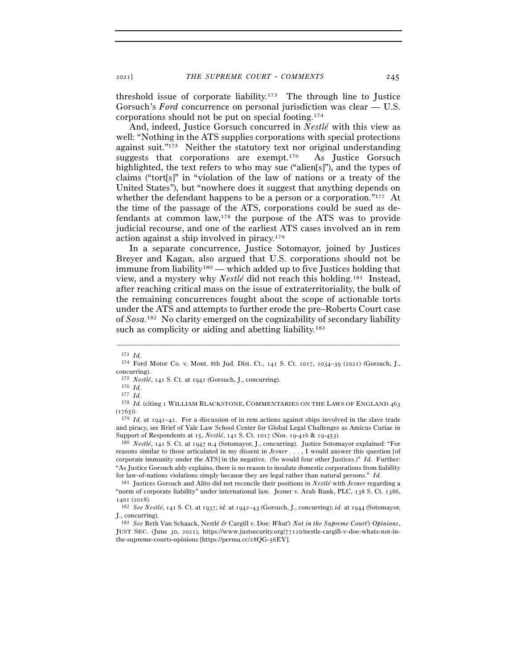threshold issue of corporate liability.173 The through line to Justice Gorsuch's *Ford* concurrence on personal jurisdiction was clear — U.S. corporations should not be put on special footing.174

And, indeed, Justice Gorsuch concurred in *Nestlé* with this view as well: "Nothing in the ATS supplies corporations with special protections against suit."175 Neither the statutory text nor original understanding suggests that corporations are exempt.<sup>176</sup> As Justice Gorsuch highlighted, the text refers to who may sue ("alien[s]"), and the types of claims ("tort[s]" in "violation of the law of nations or a treaty of the United States"), but "nowhere does it suggest that anything depends on whether the defendant happens to be a person or a corporation."<sup>177</sup> At the time of the passage of the ATS, corporations could be sued as defendants at common law,178 the purpose of the ATS was to provide judicial recourse, and one of the earliest ATS cases involved an in rem action against a ship involved in piracy.179

In a separate concurrence, Justice Sotomayor, joined by Justices Breyer and Kagan, also argued that U.S. corporations should not be immune from liability180 — which added up to five Justices holding that view, and a mystery why *Nestlé* did not reach this holding.181 Instead, after reaching critical mass on the issue of extraterritoriality, the bulk of the remaining concurrences fought about the scope of actionable torts under the ATS and attempts to further erode the pre–Roberts Court case of *Sosa*. 182 No clarity emerged on the cognizability of secondary liability such as complicity or aiding and abetting liability.<sup>183</sup>

–––––––––––––––––––––––––––––––––––––––––––––––––––––––––––––

reasons similar to those articulated in my dissent in *Jesner* . . . , I would answer this question [of corporate immunity under the ATS] in the negative. (So would four other Justices.)" *Id.* Further: "As Justice Gorsuch ably explains, there is no reason to insulate domestic corporations from liability for law-of-nations violations simply because they are legal rather than natural persons." *Id.*

183 *See* Beth Van Schaack, Nestlé *&* Cargill v. Doe*: What's Not in the Supreme Court's Opinions*, JUST SEC. (June 30, 2021), https://www.justsecurity.org/77120/nestle-cargill-v-doe-whats-not-inthe-supreme-courts-opinions [https://perma.cc/28QG-56EY].

<sup>173</sup> *Id.* 174 Ford Motor Co. v. Mont. 8th Jud. Dist. Ct., 141 S. Ct. 1017, 1034–39 (2021) (Gorsuch, J., concurring).

<sup>175</sup> *Nestlé*, 141 S. Ct. at <sup>1941</sup> (Gorsuch, J., concurring). 176 *Id.*<sup>177</sup> *Id.*<sup>178</sup> *Id.* (citing 1 WILLIAM BLACKSTONE, COMMENTARIES ON THE LAWS OF ENGLAND <sup>463</sup>  $(1765)$ .

<sup>179</sup> *Id.* at 1941–42. For a discussion of in rem actions against ships involved in the slave trade and piracy, see Brief of Yale Law School Center for Global Legal Challenges as Amicus Curiae in Support of Respondents at 15, *Nestlé*, 141 S. Ct. 1017 (Nos. 19-416 & 19-<sup>453</sup>). 180 *Nestlé*, 141 S. Ct. at 1947 n.4 (Sotomayor, J., concurring). Justice Sotomayor explained: "For

<sup>181</sup> Justices Gorsuch and Alito did not reconcile their positions in *Nestlé* with *Jesner* regarding a "norm of corporate liability" under international law. Jesner v. Arab Bank, PLC, 138 S. Ct. 1386, <sup>1401</sup> (<sup>2018</sup>). 182 *See Nestlé*, 141 S. Ct. at 1937; *id.* at 1942–43 (Gorsuch, J., concurring); *id.* at 1944 (Sotomayor,

J., concurring).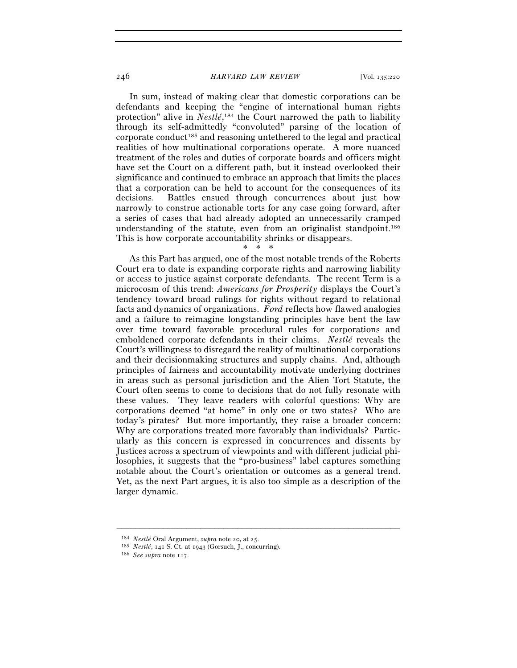In sum, instead of making clear that domestic corporations can be defendants and keeping the "engine of international human rights protection" alive in *Nestlé*, 184 the Court narrowed the path to liability through its self-admittedly "convoluted" parsing of the location of corporate conduct185 and reasoning untethered to the legal and practical realities of how multinational corporations operate. A more nuanced treatment of the roles and duties of corporate boards and officers might have set the Court on a different path, but it instead overlooked their significance and continued to embrace an approach that limits the places that a corporation can be held to account for the consequences of its decisions. Battles ensued through concurrences about just how narrowly to construe actionable torts for any case going forward, after a series of cases that had already adopted an unnecessarily cramped understanding of the statute, even from an originalist standpoint.<sup>186</sup> This is how corporate accountability shrinks or disappears.

#### $*$  \*

As this Part has argued, one of the most notable trends of the Roberts Court era to date is expanding corporate rights and narrowing liability or access to justice against corporate defendants. The recent Term is a microcosm of this trend: *Americans for Prosperity* displays the Court's tendency toward broad rulings for rights without regard to relational facts and dynamics of organizations. *Ford* reflects how flawed analogies and a failure to reimagine longstanding principles have bent the law over time toward favorable procedural rules for corporations and emboldened corporate defendants in their claims. *Nestlé* reveals the Court's willingness to disregard the reality of multinational corporations and their decisionmaking structures and supply chains. And, although principles of fairness and accountability motivate underlying doctrines in areas such as personal jurisdiction and the Alien Tort Statute, the Court often seems to come to decisions that do not fully resonate with these values. They leave readers with colorful questions: Why are corporations deemed "at home" in only one or two states? Who are today's pirates? But more importantly, they raise a broader concern: Why are corporations treated more favorably than individuals? Particularly as this concern is expressed in concurrences and dissents by Justices across a spectrum of viewpoints and with different judicial philosophies, it suggests that the "pro-business" label captures something notable about the Court's orientation or outcomes as a general trend. Yet, as the next Part argues, it is also too simple as a description of the larger dynamic.

<sup>184</sup> *Nestlé* Oral Argument, *supra* note 20, at <sup>25</sup>. 185 *Nestlé*, 141 S. Ct. at <sup>1943</sup> (Gorsuch, J., concurring). 186 *See supra* note 117.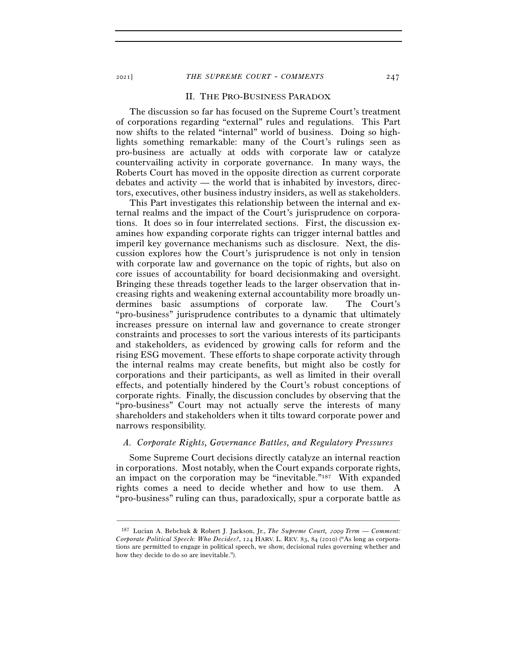#### II. THE PRO-BUSINESS PARADOX

The discussion so far has focused on the Supreme Court's treatment of corporations regarding "external" rules and regulations. This Part now shifts to the related "internal" world of business. Doing so highlights something remarkable: many of the Court's rulings seen as pro-business are actually at odds with corporate law or catalyze countervailing activity in corporate governance. In many ways, the Roberts Court has moved in the opposite direction as current corporate debates and activity — the world that is inhabited by investors, directors, executives, other business industry insiders, as well as stakeholders.

This Part investigates this relationship between the internal and external realms and the impact of the Court's jurisprudence on corporations. It does so in four interrelated sections. First, the discussion examines how expanding corporate rights can trigger internal battles and imperil key governance mechanisms such as disclosure. Next, the discussion explores how the Court's jurisprudence is not only in tension with corporate law and governance on the topic of rights, but also on core issues of accountability for board decisionmaking and oversight. Bringing these threads together leads to the larger observation that increasing rights and weakening external accountability more broadly undermines basic assumptions of corporate law. The Court's "pro-business" jurisprudence contributes to a dynamic that ultimately increases pressure on internal law and governance to create stronger constraints and processes to sort the various interests of its participants and stakeholders, as evidenced by growing calls for reform and the rising ESG movement. These efforts to shape corporate activity through the internal realms may create benefits, but might also be costly for corporations and their participants, as well as limited in their overall effects, and potentially hindered by the Court's robust conceptions of corporate rights. Finally, the discussion concludes by observing that the "pro-business" Court may not actually serve the interests of many shareholders and stakeholders when it tilts toward corporate power and narrows responsibility.

### *A. Corporate Rights, Governance Battles, and Regulatory Pressures*

Some Supreme Court decisions directly catalyze an internal reaction in corporations. Most notably, when the Court expands corporate rights, an impact on the corporation may be "inevitable."187 With expanded rights comes a need to decide whether and how to use them. A "pro-business" ruling can thus, paradoxically, spur a corporate battle as

<sup>187</sup> Lucian A. Bebchuk & Robert J. Jackson, Jr., *The Supreme Court,* 2009 *Term* — *Comment: Corporate Political Speech: Who Decides?*, 124 HARV. L. REV. 83, 84 (2010) ("As long as corporations are permitted to engage in political speech, we show, decisional rules governing whether and how they decide to do so are inevitable.").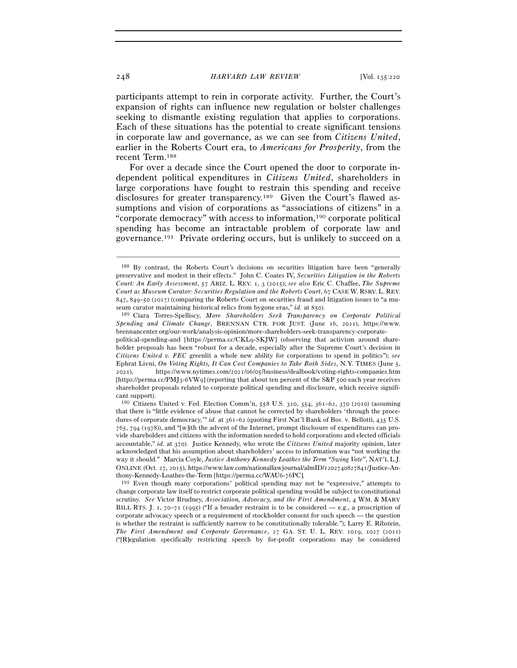participants attempt to rein in corporate activity. Further, the Court's expansion of rights can influence new regulation or bolster challenges seeking to dismantle existing regulation that applies to corporations. Each of these situations has the potential to create significant tensions in corporate law and governance, as we can see from *Citizens United*, earlier in the Roberts Court era, to *Americans for Prosperity*, from the recent Term.188

For over a decade since the Court opened the door to corporate independent political expenditures in *Citizens United*, shareholders in large corporations have fought to restrain this spending and receive disclosures for greater transparency.<sup>189</sup> Given the Court's flawed assumptions and vision of corporations as "associations of citizens" in a "corporate democracy" with access to information,190 corporate political spending has become an intractable problem of corporate law and governance.191 Private ordering occurs, but is unlikely to succeed on a

–––––––––––––––––––––––––––––––––––––––––––––––––––––––––––––

191 Even though many corporations' political spending may not be "expressive," attempts to change corporate law itself to restrict corporate political spending would be subject to constitutional scrutiny. *See* Victor Brudney, *Association, Advocacy, and the First Amendment*, 4 WM. & MARY BILL RTS. J. 1, 70–71 (1995) ("If a broader restraint is to be considered — e.g., a proscription of corporate advocacy speech or a requirement of stockholder consent for such speech — the question is whether the restraint is sufficiently narrow to be constitutionally tolerable."); Larry E. Ribstein, *The First Amendment and Corporate Governance*, 27 GA. ST. U. L. REV. 1019, 1027 (2011) ("[R]egulation specifically restricting speech by for-profit corporations may be considered

<sup>188</sup> By contrast, the Roberts Court's decisions on securities litigation have been "generally preservative and modest in their effects." John C. Coates IV, *Securities Litigation in the Roberts Court: An Early Assessment*, 57 ARIZ. L. REV. 1, 3 (2015); *see also* Eric C. Chaffee, *The Supreme Court as Museum Curator: Securities Regulation and the Roberts Court*, 67 CASE W. RSRV. L. REV. 847, 849–50 (2017) (comparing the Roberts Court on securities fraud and litigation issues to "a museum curator maintaining historical relics from bygone eras," *id.* at <sup>850</sup>). 189 Ciara Torres-Spelliscy, *More Shareholders Seek Transparency on Corporate Political* 

*Spending and Climate Change*, BRENNAN CTR. FOR JUST. (June 16, 2021), https://www. brennancenter.org/our-work/analysis-opinion/more-shareholders-seek-transparency-corporatepolitical-spending-and [https://perma.cc/CKL9-SKJW] (observing that activism around shareholder proposals has been "robust for a decade, especially after the Supreme Court's decision in *Citizens United v. FEC* greenlit a whole new ability for corporations to spend in politics"); *see* Ephrat Livni, *On Voting Rights, It Can Cost Companies to Take Both Sides*, N.Y. TIMES (June 5, 2021), https://www.nytimes.com/2021/06/05/business/dealbook/voting-rights-companies.htm [https://perma.cc/PMJ3-6VW9] (reporting that about ten percent of the S&P 500 each year receives shareholder proposals related to corporate political spending and disclosure, which receive significant support).

<sup>190</sup> Citizens United v. Fed. Election Comm'n, 558 U.S. 310, 354, 361–62, 370 (2010) (assuming that there is "little evidence of abuse that cannot be corrected by shareholders 'through the procedures of corporate democracy," *id.* at  $361-62$  (quoting First Nat'l Bank of Bos. v. Bellotti, 435 U.S. 765, 794 (1978)), and "[w]ith the advent of the Internet, prompt disclosure of expenditures can provide shareholders and citizens with the information needed to hold corporations and elected officials accountable," *id.* at 370). Justice Kennedy, who wrote the *Citizens United* majority opinion, later acknowledged that his assumption about shareholders' access to information was "not working the way it should." Marcia Coyle, *Justice Anthony Kennedy Loathes the Term "Swing Vote"*, NAT'L L.J. ONLINE (Oct. 27, 2015), https://www.law.com/nationallawjournal/almID/1202740827841/Justice-Anthony-Kennedy-Loathes-the-Term [https://perma.cc/WAU6-76PC]*.*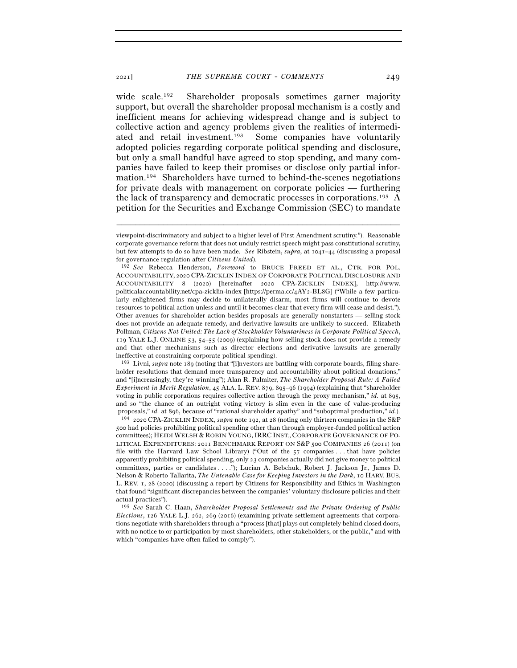wide scale.<sup>192</sup> Shareholder proposals sometimes garner majority support, but overall the shareholder proposal mechanism is a costly and inefficient means for achieving widespread change and is subject to collective action and agency problems given the realities of intermediated and retail investment.193 Some companies have voluntarily adopted policies regarding corporate political spending and disclosure, but only a small handful have agreed to stop spending, and many companies have failed to keep their promises or disclose only partial information.194 Shareholders have turned to behind-the-scenes negotiations for private deals with management on corporate policies — furthering the lack of transparency and democratic processes in corporations.195 A petition for the Securities and Exchange Commission (SEC) to mandate

–––––––––––––––––––––––––––––––––––––––––––––––––––––––––––––

<sup>193</sup> Livni, *supra* note 189 (noting that "[i]nvestors are battling with corporate boards, filing shareholder resolutions that demand more transparency and accountability about political donations," and "[i]ncreasingly, they're winning"); Alan R. Palmiter, *The Shareholder Proposal Rule: A Failed Experiment in Merit Regulation*, 45 ALA. L. REV. 879, 895–96 (1994) (explaining that "shareholder voting in public corporations requires collective action through the proxy mechanism," *id.* at 895, and so "the chance of an outright voting victory is slim even in the case of value-producing proposals," *id.* at 896, because of "rational shareholder apathy" and "suboptimal production," *id.*). 194 <sup>2020</sup> CPA-ZICKLIN INDEX, *supra* note 192, at 28 (noting only thirteen companies in the S&P

500 had policies prohibiting political spending other than through employee-funded political action committees); HEIDI WELSH & ROBIN YOUNG,IRRC INST., CORPORATE GOVERNANCE OF PO-LITICAL EXPENDITURES: 2011 BENCHMARK REPORT ON S&P 500 COMPANIES 26 (2011) (on file with the Harvard Law School Library) ("Out of the 57 companies . . . that have policies apparently prohibiting political spending, only 23 companies actually did not give money to political committees, parties or candidates . . . ."); Lucian A. Bebchuk, Robert J. Jackson Jr., James D. Nelson & Roberto Tallarita, *The Untenable Case for Keeping Investors in the Dark*, 10 HARV. BUS. L. REV. 1, 28 (2020) (discussing a report by Citizens for Responsibility and Ethics in Washington that found "significant discrepancies between the companies' voluntary disclosure policies and their actual practices").

195 *See* Sarah C. Haan, *Shareholder Proposal Settlements and the Private Ordering of Public Elections*, 126 YALE L.J. 262, 269 (2016) (examining private settlement agreements that corporations negotiate with shareholders through a "process [that] plays out completely behind closed doors, with no notice to or participation by most shareholders, other stakeholders, or the public," and with which "companies have often failed to comply").

viewpoint-discriminatory and subject to a higher level of First Amendment scrutiny."). Reasonable corporate governance reform that does not unduly restrict speech might pass constitutional scrutiny, but few attempts to do so have been made. *See* Ribstein, *supra*, at 1041–44 (discussing a proposal for governance regulation after *Citizens United*). 192 *See* Rebecca Henderson, *Foreword* to BRUCE FREED ET AL., CTR. FOR POL.

ACCOUNTABILITY, 2020 CPA-ZICKLIN INDEX OF CORPORATE POLITICAL DISCLOSURE AND ACCOUNTABILITY 8 (2020) [hereinafter 2020 CPA-ZICKLIN INDEX], http://www. politicalaccountability.net/cpa-zicklin-index [https://perma.cc/4AY2-BL8G] ("While a few particularly enlightened firms may decide to unilaterally disarm, most firms will continue to devote resources to political action unless and until it becomes clear that every firm will cease and desist."). Other avenues for shareholder action besides proposals are generally nonstarters — selling stock does not provide an adequate remedy, and derivative lawsuits are unlikely to succeed. Elizabeth Pollman, *Citizens Not United: The Lack of Stockholder Voluntariness in Corporate Political Speech*, 119 YALE L.J. ONLINE 53, 54–55 (2009) (explaining how selling stock does not provide a remedy and that other mechanisms such as director elections and derivative lawsuits are generally ineffective at constraining corporate political spending).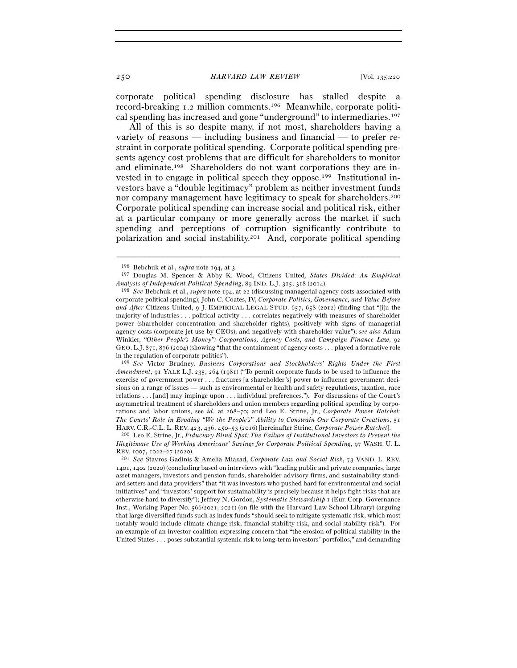corporate political spending disclosure has stalled despite a record-breaking 1.2 million comments.196 Meanwhile, corporate political spending has increased and gone "underground" to intermediaries.197

All of this is so despite many, if not most, shareholders having a variety of reasons — including business and financial — to prefer restraint in corporate political spending. Corporate political spending presents agency cost problems that are difficult for shareholders to monitor and eliminate.198 Shareholders do not want corporations they are invested in to engage in political speech they oppose.199 Institutional investors have a "double legitimacy" problem as neither investment funds nor company management have legitimacy to speak for shareholders.200 Corporate political spending can increase social and political risk, either at a particular company or more generally across the market if such spending and perceptions of corruption significantly contribute to polarization and social instability.201 And, corporate political spending

–––––––––––––––––––––––––––––––––––––––––––––––––––––––––––––

199 *See* Victor Brudney, *Business Corporations and Stockholders' Rights Under the First Amendment*, 91 YALE L.J. 235, 264 (1981) ("To permit corporate funds to be used to influence the exercise of government power . . . fractures [a shareholder's] power to influence government decisions on a range of issues — such as environmental or health and safety regulations, taxation, race relations . . . [and] may impinge upon . . . individual preferences."). For discussions of the Court's asymmetrical treatment of shareholders and union members regarding political spending by corporations and labor unions, see *id.* at 268–70; and Leo E. Strine, Jr., *Corporate Power Ratchet: The Courts' Role in Eroding "We the People's" Ability to Constrain Our Corporate Creations*, 51 HARV. C.R.-C.L. L. REV. <sup>423</sup>, 436, 450–53 (2016) [hereinafter Strine, *Corporate Power Ratchet*]. 200 Leo E. Strine, Jr., *Fiduciary Blind Spot: The Failure of Institutional Investors to Prevent the* 

<sup>196</sup> Bebchuk et al., *supra* note 194, at <sup>3</sup>. 197 Douglas M. Spencer & Abby K. Wood, Citizens United*, States Divided: An Empirical* 

*Analysis of Independent Political Spending*, 89 IND. L.J. 315, 318 (<sup>2014</sup>). 198 *See* Bebchuk et al., *supra* note 194, at 22 (discussing managerial agency costs associated with corporate political spending); John C. Coates, IV, *Corporate Politics, Governance, and Value Before and After* Citizens United, 9 J. EMPIRICAL LEGAL STUD. 657, 658 (2012) (finding that "[i]n the majority of industries . . . political activity . . . correlates negatively with measures of shareholder power (shareholder concentration and shareholder rights), positively with signs of managerial agency costs (corporate jet use by CEOs), and negatively with shareholder value"); *see also* Adam Winkler, *"Other People's Money": Corporations, Agency Costs, and Campaign Finance Law*, 92 GEO. L.J. 871, 876 (2004) (showing "that the containment of agency costs . . . played a formative role in the regulation of corporate politics").

*Illegitimate Use of Working Americans' Savings for Corporate Political Spending*, 97 WASH. U. L. REV. <sup>1007</sup>, 1022–27 (<sup>2020</sup>). 201 *See* Stavros Gadinis & Amelia Miazad, *Corporate Law and Social Risk*, 73 VAND. L. REV.

<sup>1401</sup>, 1402 (2020) (concluding based on interviews with "leading public and private companies, large asset managers, investors and pension funds, shareholder advisory firms, and sustainability standard setters and data providers" that "it was investors who pushed hard for environmental and social initiatives" and "investors' support for sustainability is precisely because it helps fight risks that are otherwise hard to diversify"); Jeffrey N. Gordon, *Systematic Stewardship* 1 (Eur. Corp. Governance Inst., Working Paper No. 566/2021, 2021) (on file with the Harvard Law School Library) (arguing that large diversified funds such as index funds "should seek to mitigate systematic risk, which most notably would include climate change risk, financial stability risk, and social stability risk"). For an example of an investor coalition expressing concern that "the erosion of political stability in the United States . . . poses substantial systemic risk to long-term investors' portfolios," and demanding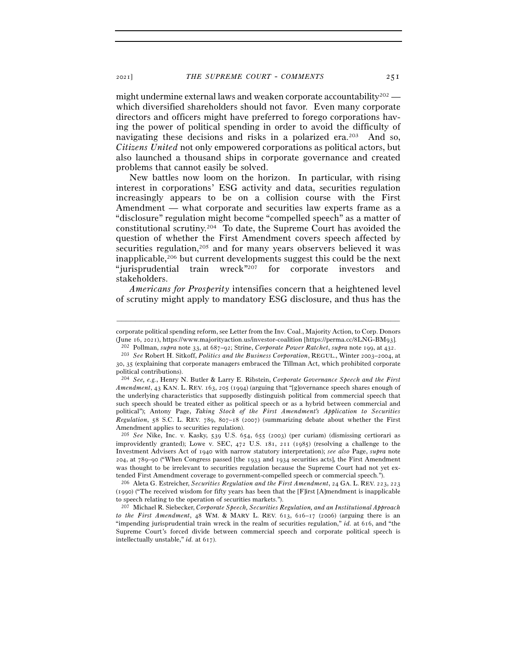might undermine external laws and weaken corporate accountability<sup>202</sup> which diversified shareholders should not favor. Even many corporate directors and officers might have preferred to forego corporations having the power of political spending in order to avoid the difficulty of navigating these decisions and risks in a polarized era.<sup>203</sup> And so, *Citizens United* not only empowered corporations as political actors, but also launched a thousand ships in corporate governance and created problems that cannot easily be solved.

New battles now loom on the horizon. In particular, with rising interest in corporations' ESG activity and data, securities regulation increasingly appears to be on a collision course with the First Amendment — what corporate and securities law experts frame as a "disclosure" regulation might become "compelled speech" as a matter of constitutional scrutiny.204 To date, the Supreme Court has avoided the question of whether the First Amendment covers speech affected by securities regulation,<sup>205</sup> and for many years observers believed it was inapplicable,206 but current developments suggest this could be the next "jurisprudential train wreck"207 for corporate investors and stakeholders.

*Americans for Prosperity* intensifies concern that a heightened level of scrutiny might apply to mandatory ESG disclosure, and thus has the

<sup>–––––––––––––––––––––––––––––––––––––––––––––––––––––––––––––</sup> corporate political spending reform, see Letter from the Inv. Coal., Majority Action, to Corp. Donors (June 16, 2021), https://www.majorityaction.us/investor-coalition [https://perma.cc/8LNG-BM93].<br><sup>202</sup> Pollman, *supra* note 33, at 687–92; Strine, *Corporate Power Ratchet, supra* note 199, at 432.<br><sup>203</sup> *See* Robert H. S

<sup>30</sup>, 35 (explaining that corporate managers embraced the Tillman Act, which prohibited corporate political contributions).

<sup>204</sup> *See, e.g.*, Henry N. Butler & Larry E. Ribstein, *Corporate Governance Speech and the First Amendment*, 43 KAN. L. REV. 163, 205 (1994) (arguing that "[g]overnance speech shares enough of the underlying characteristics that supposedly distinguish political from commercial speech that such speech should be treated either as political speech or as a hybrid between commercial and political"); Antony Page, *Taking Stock of the First Amendment's Application to Securities Regulation*, 58 S.C. L. REV. 789, 807–18 (2007) (summarizing debate about whether the First Amendment applies to securities regulation).

<sup>205</sup> *See* Nike, Inc. v. Kasky, 539 U.S. 654, 655 (2003) (per curiam) (dismissing certiorari as improvidently granted); Lowe v. SEC, 472 U.S. 181, 211 (1985) (resolving a challenge to the Investment Advisers Act of 1940 with narrow statutory interpretation); *see also* Page, *supra* note 204, at 789–90 ("When Congress passed [the 1933 and 1934 securities acts], the First Amendment was thought to be irrelevant to securities regulation because the Supreme Court had not yet extended First Amendment coverage to government-compelled speech or commercial speech.").

<sup>206</sup> Aleta G. Estreicher, *Securities Regulation and the First Amendment*, 24 GA. L. REV. 223, 223 (1990) ("The received wisdom for fifty years has been that the [F]irst [A]mendment is inapplicable to speech relating to the operation of securities markets.").

<sup>207</sup> Michael R. Siebecker, *Corporate Speech, Securities Regulation, and an Institutional Approach to the First Amendment*, 48 WM. & MARY L. REV. 613, 616–17 (2006) (arguing there is an "impending jurisprudential train wreck in the realm of securities regulation," *id.* at 616, and "the Supreme Court's forced divide between commercial speech and corporate political speech is intellectually unstable," *id.* at 617).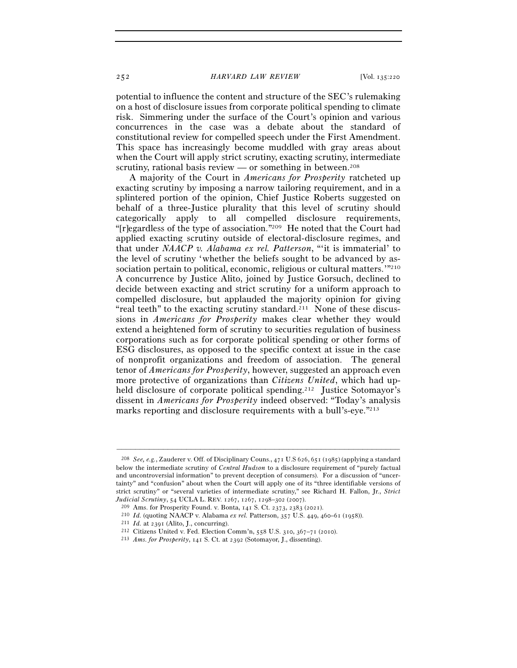potential to influence the content and structure of the SEC's rulemaking on a host of disclosure issues from corporate political spending to climate risk. Simmering under the surface of the Court's opinion and various concurrences in the case was a debate about the standard of constitutional review for compelled speech under the First Amendment. This space has increasingly become muddled with gray areas about when the Court will apply strict scrutiny, exacting scrutiny, intermediate scrutiny, rational basis review — or something in between.<sup>208</sup>

A majority of the Court in *Americans for Prosperity* ratcheted up exacting scrutiny by imposing a narrow tailoring requirement, and in a splintered portion of the opinion, Chief Justice Roberts suggested on behalf of a three-Justice plurality that this level of scrutiny should categorically apply to all compelled disclosure requirements, "[r]egardless of the type of association."209 He noted that the Court had applied exacting scrutiny outside of electoral-disclosure regimes, and that under *NAACP v. Alabama ex rel. Patterson*, "'it is immaterial' to the level of scrutiny 'whether the beliefs sought to be advanced by association pertain to political, economic, religious or cultural matters.'"<sup>210</sup> A concurrence by Justice Alito, joined by Justice Gorsuch, declined to decide between exacting and strict scrutiny for a uniform approach to compelled disclosure, but applauded the majority opinion for giving "real teeth" to the exacting scrutiny standard.<sup>211</sup> None of these discussions in *Americans for Prosperity* makes clear whether they would extend a heightened form of scrutiny to securities regulation of business corporations such as for corporate political spending or other forms of ESG disclosures, as opposed to the specific context at issue in the case of nonprofit organizations and freedom of association. The general tenor of *Americans for Prosperity*, however, suggested an approach even more protective of organizations than *Citizens United*, which had upheld disclosure of corporate political spending.<sup>212</sup> Justice Sotomayor's dissent in *Americans for Prosperity* indeed observed: "Today's analysis marks reporting and disclosure requirements with a bull's-eye."<sup>213</sup>

<sup>208</sup> *See, e.g.*, Zauderer v. Off. of Disciplinary Couns., 471 U.S 626, 651 (1985) (applying a standard below the intermediate scrutiny of *Central Hudson* to a disclosure requirement of "purely factual and uncontroversial information" to prevent deception of consumers). For a discussion of "uncertainty" and "confusion" about when the Court will apply one of its "three identifiable versions of strict scrutiny" or "several varieties of intermediate scrutiny," see Richard H. Fallon, Jr., *Strict*   $\begin{array}{l} \textit{Judicial Scrutiny, 54 UCLA L. REV. 1267, 1267, 1298–302 (2007).}\\ \textit{209\,\,AMS. for Prosperity Found. v. Bonta, 141 S. Ct. 2373, 2383 (2021).}\\ \textit{210\,\,Id. (quoting NAACP v. Alabama \,\,ex\,\,rel. Patterson, 357 U.S. 449, 460–61 (1958)).}\\ \textit{211\,\,Id. at 2391 (Alito, J., converting).}\\ \textit{212\,\,Citizers United v. Fed. Electron Comm'n, 558 U.S.$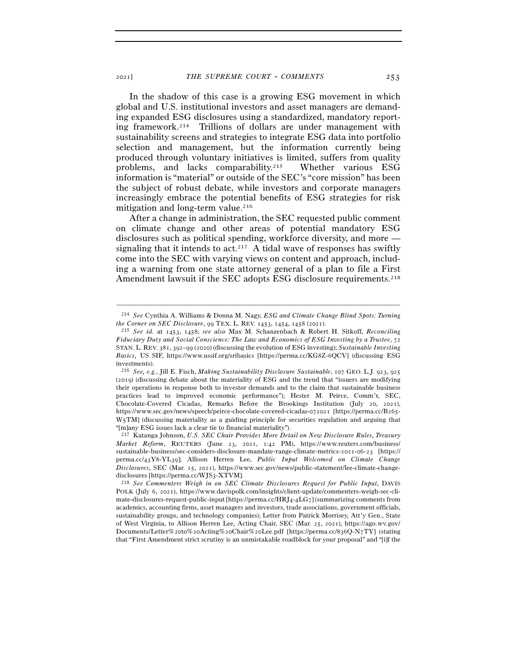In the shadow of this case is a growing ESG movement in which global and U.S. institutional investors and asset managers are demanding expanded ESG disclosures using a standardized, mandatory reporting framework.214 Trillions of dollars are under management with sustainability screens and strategies to integrate ESG data into portfolio selection and management, but the information currently being produced through voluntary initiatives is limited, suffers from quality problems, and lacks comparability.215 Whether various ESG information is "material" or outside of the SEC's "core mission" has been the subject of robust debate, while investors and corporate managers increasingly embrace the potential benefits of ESG strategies for risk mitigation and long-term value.<sup>216</sup>

After a change in administration, the SEC requested public comment on climate change and other areas of potential mandatory ESG disclosures such as political spending, workforce diversity, and more signaling that it intends to act.<sup>217</sup> A tidal wave of responses has swiftly come into the SEC with varying views on content and approach, including a warning from one state attorney general of a plan to file a First Amendment lawsuit if the SEC adopts ESG disclosure requirements.<sup>218</sup>

<sup>–––––––––––––––––––––––––––––––––––––––––––––––––––––––––––––</sup> 214 *See* Cynthia A. Williams & Donna M. Nagy, *ESG and Climate Change Blind Spots: Turning* 

*the Corner on SEC Disclosure*, 99 TEX. L. REV. 1453, 1454, 1458 (<sup>2021</sup>). 215 *See id.* at 1453, 1458; *see also* Max M. Schanzenbach & Robert H. Sitkoff, *Reconciling Fiduciary Duty and Social Conscience: The Law and Economics of ESG Investing by a Trustee*, 72 STAN. L. REV. 381, 392–99 (2020) (discussing the evolution of ESG investing); *Sustainable Investing Basics,* US SIF, https://www.ussif.org/sribasics [https://perma.cc/KG8Z-6QCV] (discussing ESG investments).

<sup>216</sup> *See, e.g.*, Jill E. Fisch, *Making Sustainability Disclosure Sustainable*, 107 GEO. L.J. 923, 925 (2019) (discussing debate about the materiality of ESG and the trend that "issuers are modifying their operations in response both to investor demands and to the claim that sustainable business practices lead to improved economic performance"); Hester M. Peirce, Comm'r, SEC, Chocolate-Covered Cicadas, Remarks Before the Brookings Institution (July 20, 2021), https://www.sec.gov/news/speech/peirce-chocolate-covered-cicadas-072021 [https://perma.cc/B265- W5TM] (discussing materiality as a guiding principle for securities regulation and arguing that "[m]any ESG issues lack a clear tie to financial materiality").

<sup>217</sup> Katanga Johnson, *U.S. SEC Chair Provides More Detail on New Disclosure Rules, Treasury Market Reform*, REUTERS (June 23, 2021, 1:42 PM), https://www.reuters.com/business/ sustainable-business/sec-considers-disclosure-mandate-range-climate-metrics-2021-06-23 [https:// perma.cc/43Y8-YL39]; Allison Herren Lee, *Public Input Welcomed on Climate Change Disclosures*, SEC (Mar. 15, 2021), https://www.sec.gov/news/public-statement/lee-climate-changedisclosures [https://perma.cc/WJS<sup>3</sup>-XTVM]. 218 *See Commenters Weigh in on SEC Climate Disclosures Request for Public Input*, DAVIS

POLK (July 6, 2021), https://www.davispolk.com/insights/client-update/commenters-weigh-sec-climate-disclosures-request-public-input [https://perma.cc/HRJ4-4LG7] (summarizing comments from academics, accounting firms, asset managers and investors, trade associations, government officials, sustainability groups, and technology companies); Letter from Patrick Morrisey, Att'y Gen., State of West Virginia, to Allison Herren Lee, Acting Chair, SEC (Mar. 25, 2021), https://ago.wv.gov/ Documents/Letter%20to%20Acting%20Chair%20Lee.pdf [https://perma.cc/836Q-N7TY] (stating that "First Amendment strict scrutiny is an unmistakable roadblock for your proposal" and "[i]f the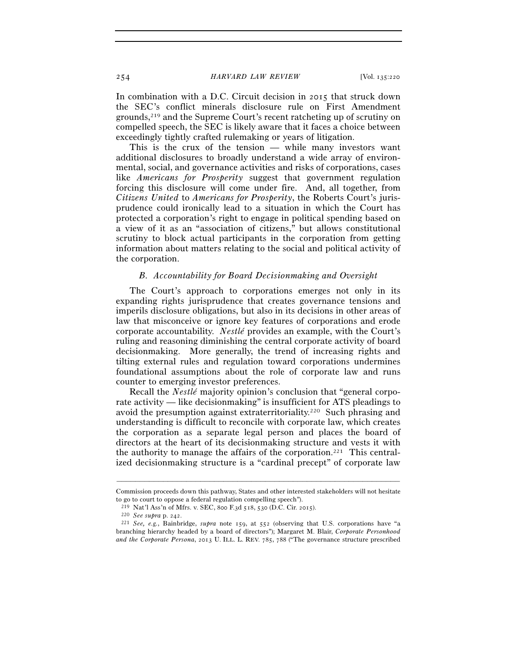In combination with a D.C. Circuit decision in 2015 that struck down the SEC's conflict minerals disclosure rule on First Amendment grounds,219 and the Supreme Court's recent ratcheting up of scrutiny on compelled speech, the SEC is likely aware that it faces a choice between exceedingly tightly crafted rulemaking or years of litigation.

This is the crux of the tension — while many investors want additional disclosures to broadly understand a wide array of environmental, social, and governance activities and risks of corporations, cases like *Americans for Prosperity* suggest that government regulation forcing this disclosure will come under fire. And, all together, from *Citizens United* to *Americans for Prosperity*, the Roberts Court's jurisprudence could ironically lead to a situation in which the Court has protected a corporation's right to engage in political spending based on a view of it as an "association of citizens," but allows constitutional scrutiny to block actual participants in the corporation from getting information about matters relating to the social and political activity of the corporation.

#### *B. Accountability for Board Decisionmaking and Oversight*

The Court's approach to corporations emerges not only in its expanding rights jurisprudence that creates governance tensions and imperils disclosure obligations, but also in its decisions in other areas of law that misconceive or ignore key features of corporations and erode corporate accountability. *Nestlé* provides an example, with the Court's ruling and reasoning diminishing the central corporate activity of board decisionmaking. More generally, the trend of increasing rights and tilting external rules and regulation toward corporations undermines foundational assumptions about the role of corporate law and runs counter to emerging investor preferences.

Recall the *Nestlé* majority opinion's conclusion that "general corporate activity — like decisionmaking" is insufficient for ATS pleadings to avoid the presumption against extraterritoriality.220 Such phrasing and understanding is difficult to reconcile with corporate law, which creates the corporation as a separate legal person and places the board of directors at the heart of its decisionmaking structure and vests it with the authority to manage the affairs of the corporation.221 This centralized decisionmaking structure is a "cardinal precept" of corporate law

<sup>–––––––––––––––––––––––––––––––––––––––––––––––––––––––––––––</sup> Commission proceeds down this pathway, States and other interested stakeholders will not hesitate to go to court to oppose a federal regulation compelling speech").

<sup>219</sup> Nat'l Ass'n of Mfrs. v. SEC, 800 F.3d 518, 530 (D.C. Cir. <sup>2015</sup>). 220 *See supra* p. <sup>242</sup>. 221 *See, e.g.*, Bainbridge, *supra* note 159, at 552 (observing that U.S. corporations have "a branching hierarchy headed by a board of directors"); Margaret M. Blair, *Corporate Personhood and the Corporate Persona*, 2013 U. ILL. L. REV. 785, 788 ("The governance structure prescribed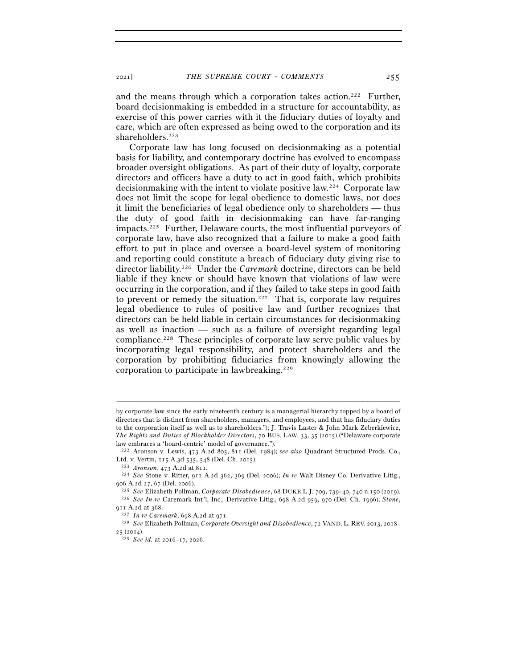and the means through which a corporation takes action.222 Further, board decisionmaking is embedded in a structure for accountability, as exercise of this power carries with it the fiduciary duties of loyalty and care, which are often expressed as being owed to the corporation and its shareholders.223

Corporate law has long focused on decisionmaking as a potential basis for liability, and contemporary doctrine has evolved to encompass broader oversight obligations. As part of their duty of loyalty, corporate directors and officers have a duty to act in good faith, which prohibits decisionmaking with the intent to violate positive law.224 Corporate law does not limit the scope for legal obedience to domestic laws, nor does it limit the beneficiaries of legal obedience only to shareholders — thus the duty of good faith in decisionmaking can have far-ranging impacts.225 Further, Delaware courts, the most influential purveyors of corporate law, have also recognized that a failure to make a good faith effort to put in place and oversee a board-level system of monitoring and reporting could constitute a breach of fiduciary duty giving rise to director liability.226 Under the *Caremark* doctrine, directors can be held liable if they knew or should have known that violations of law were occurring in the corporation, and if they failed to take steps in good faith to prevent or remedy the situation.<sup>227</sup> That is, corporate law requires legal obedience to rules of positive law and further recognizes that directors can be held liable in certain circumstances for decisionmaking as well as inaction — such as a failure of oversight regarding legal compliance.228 These principles of corporate law serve public values by incorporating legal responsibility, and protect shareholders and the corporation by prohibiting fiduciaries from knowingly allowing the corporation to participate in lawbreaking.229

by corporate law since the early nineteenth century is a managerial hierarchy topped by a board of directors that is distinct from shareholders, managers, and employees, and that has fiduciary duties to the corporation itself as well as to shareholders."); J. Travis Laster & John Mark Zeberkiewicz, *The Rights and Duties of Blockholder Directors*, 70 BUS. LAW. 33, 35 (2015) ("Delaware corporate law embraces a 'board-centric' model of governance.").

<sup>222</sup> Aronson v. Lewis, 473 A.2d 805, 811 (Del. 1984); *see also* Quadrant Structured Prods. Co., Ltd. v. Vertin, 115 A.3d 535, 548 (Del. Ch. <sup>2015</sup>). 223 *Aronson*, 473 A.2d at <sup>811</sup>. 224 *See* Stone v. Ritter, 911 A.2d 362, 369 (Del. 2006); *In re* Walt Disney Co. Derivative Litig.,

<sup>906</sup> A.2d 27, 67 (Del. 2006).<br><sup>225</sup> See Elizabeth Pollman, Corporate Disobedience, 68 DUKE L.J. 709, 739–40, 740 n.150 (2019).<br><sup>226</sup> See In re Caremark Int'l, Inc., Derivative Litig., 698 A.2d 959, 970 (Del. Ch. 1996); Ston

<sup>911</sup> A.2d at <sup>368</sup>. 227 *In re Caremark*, 698 A.2d at <sup>971</sup>. 228 *See* Elizabeth Pollman, *Corporate Oversight and Disobedience*, 72 VAND. L. REV. 2013, 2018– <sup>25</sup> (<sup>2014</sup>). 229 *See id.* at 2016–17, 2026.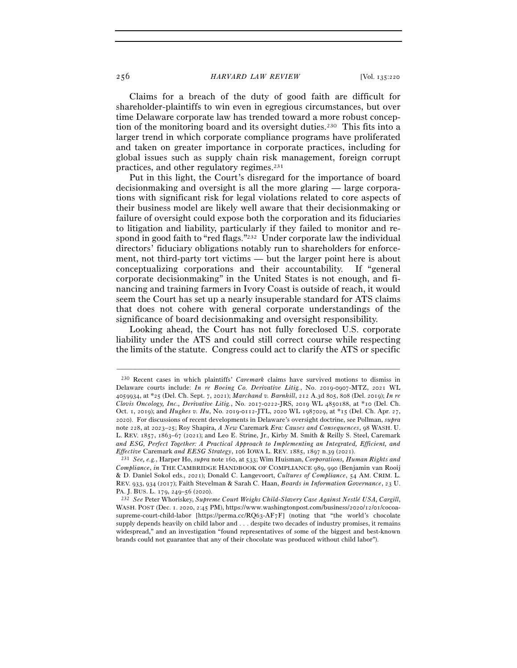Claims for a breach of the duty of good faith are difficult for shareholder-plaintiffs to win even in egregious circumstances, but over time Delaware corporate law has trended toward a more robust conception of the monitoring board and its oversight duties.<sup>230</sup> This fits into a larger trend in which corporate compliance programs have proliferated and taken on greater importance in corporate practices, including for global issues such as supply chain risk management, foreign corrupt practices, and other regulatory regimes.231

Put in this light, the Court's disregard for the importance of board decisionmaking and oversight is all the more glaring — large corporations with significant risk for legal violations related to core aspects of their business model are likely well aware that their decisionmaking or failure of oversight could expose both the corporation and its fiduciaries to litigation and liability, particularly if they failed to monitor and respond in good faith to "red flags."<sup>232</sup> Under corporate law the individual directors' fiduciary obligations notably run to shareholders for enforcement, not third-party tort victims — but the larger point here is about conceptualizing corporations and their accountability. If "general corporate decisionmaking" in the United States is not enough, and financing and training farmers in Ivory Coast is outside of reach, it would seem the Court has set up a nearly insuperable standard for ATS claims that does not cohere with general corporate understandings of the significance of board decisionmaking and oversight responsibility.

Looking ahead, the Court has not fully foreclosed U.S. corporate liability under the ATS and could still correct course while respecting the limits of the statute. Congress could act to clarify the ATS or specific

<sup>230</sup> Recent cases in which plaintiffs' *Caremark* claims have survived motions to dismiss in Delaware courts include: *In re Boeing Co. Derivative Litig.*, No. 2019-0907-MTZ, 2021 WL 4059934, at \*25 (Del. Ch. Sept. 7, 2021); *Marchand v. Barnhill*, 212 A.3d 805, 808 (Del. 2019); *In re Clovis Oncology, Inc., Derivative Litig.*, No. 2017-0222-JRS, 2019 WL 4850188, at \*10 (Del. Ch. Oct. 1, 2019); and *Hughes v. Hu*, No. 2019-0112-JTL, 2020 WL 1987029, at \*15 (Del. Ch. Apr. 27, 2020). For discussions of recent developments in Delaware's oversight doctrine, see Pollman, *supra* note 228, at 2023–25; Roy Shapira, *A New* Caremark *Era: Causes and Consequences*, 98 WASH. U. L. REV. 1857, 1863–67 (2021); and Leo E. Strine, Jr., Kirby M. Smith & Reilly S. Steel, Caremark *and ESG, Perfect Together: A Practical Approach to Implementing an Integrated, Efficient, and Effective* Caremark *and EESG Strategy*, 106 IOWA L. REV. 1885, 1897 n.39 (<sup>2021</sup>). 231 *See, e.g.*, Harper Ho, *supra* note 160, at 533; Wim Huisman, *Corporations, Human Rights and* 

*Compliance*, *in* THE CAMBRIDGE HANDBOOK OF COMPLIANCE 989, 990 (Benjamin van Rooij & D. Daniel Sokol eds., 2021); Donald C. Langevoort, *Cultures of Compliance*, 54 AM. CRIM. L. REV. 933, 934 (2017); Faith Stevelman & Sarah C. Haan, *Boards in Information Governance*, 23 U. PA. J. BUS. L. 179, 249–56 (<sup>2020</sup>). 232 *See* Peter Whoriskey, *Supreme Court Weighs Child-Slavery Case Against Nestlé USA, Cargill*,

WASH. POST (Dec. 1. 2020, 2:45 PM), https://www.washingtonpost.com/business/2020/12/01/cocoasupreme-court-child-labor [https://perma.cc/RQ63-AF7F] (noting that "the world's chocolate supply depends heavily on child labor and . . . despite two decades of industry promises, it remains widespread," and an investigation "found representatives of some of the biggest and best-known brands could not guarantee that any of their chocolate was produced without child labor").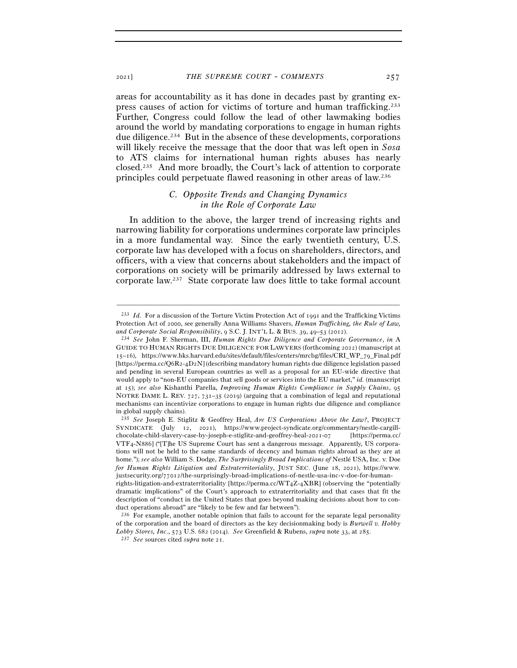areas for accountability as it has done in decades past by granting express causes of action for victims of torture and human trafficking.233 Further, Congress could follow the lead of other lawmaking bodies around the world by mandating corporations to engage in human rights due diligence.234 But in the absence of these developments, corporations will likely receive the message that the door that was left open in *Sosa* to ATS claims for international human rights abuses has nearly closed.235 And more broadly, the Court's lack of attention to corporate principles could perpetuate flawed reasoning in other areas of law.236

## *C. Opposite Trends and Changing Dynamics in the Role of Corporate Law*

In addition to the above, the larger trend of increasing rights and narrowing liability for corporations undermines corporate law principles in a more fundamental way. Since the early twentieth century, U.S. corporate law has developed with a focus on shareholders, directors, and officers, with a view that concerns about stakeholders and the impact of corporations on society will be primarily addressed by laws external to corporate law.237 State corporate law does little to take formal account

<sup>233</sup> *Id.* For a discussion of the Torture Victim Protection Act of 1991 and the Trafficking Victims Protection Act of 2000, see generally Anna Williams Shavers, *Human Trafficking, the Rule of Law,* 

*and Corporate Social Responsibility*, 9 S.C. J. INT'L L. & BUS. 39, 49–53 (<sup>2012</sup>). 234 *See* John F. Sherman, III, *Human Rights Due Diligence and Corporate Governance*, *in*<sup>A</sup> GUIDE TO HUMAN RIGHTS DUE DILIGENCE FOR LAWYERS (forthcoming 2022) (manuscript at 15–16), https://www.hks.harvard.edu/sites/default/files/centers/mrcbg/files/CRI\_WP\_79\_Final.pdf [https://perma.cc/Q6R2-4D2N] (describing mandatory human rights due diligence legislation passed and pending in several European countries as well as a proposal for an EU-wide directive that would apply to "non-EU companies that sell goods or services into the EU market," *id.* (manuscript at 15); *see also* Kishanthi Parella, *Improving Human Rights Compliance in Supply Chains*, 95 NOTRE DAME L. REV. 727, 731–35 (2019) (arguing that a combination of legal and reputational mechanisms can incentivize corporations to engage in human rights due diligence and compliance in global supply chains).

<sup>235</sup> *See* Joseph E. Stiglitz & Geoffrey Heal, *Are US Corporations Above the Law?*, PROJECT SYNDICATE (July 12, 2021), https://www.project-syndicate.org/commentary/nestle-cargillchocolate-child-slavery-case-by-joseph-e-stiglitz-and-geoffrey-heal-2021-07 [https://perma.cc/ VTF4-N886] ("[T]he US Supreme Court has sent a dangerous message. Apparently, US corporations will not be held to the same standards of decency and human rights abroad as they are at home."); *see also* William S. Dodge, *The Surprisingly Broad Implications of* Nestlé USA, Inc. v. Doe *for Human Rights Litigation and Extraterritoriality*, JUST SEC. (June 18, 2021), https://www. justsecurity.org/77012/the-surprisingly-broad-implications-of-nestle-usa-inc-v-doe-for-humanrights-litigation-and-extraterritoriality [https://perma.cc/WT4Z-4XBR] (observing the "potentially

dramatic implications" of the Court's approach to extraterritoriality and that cases that fit the description of "conduct in the United States that goes beyond making decisions about how to conduct operations abroad" are "likely to be few and far between").

<sup>236</sup> For example, another notable opinion that fails to account for the separate legal personality of the corporation and the board of directors as the key decisionmaking body is *Burwell v. Hobby Lobby Stores, Inc.*, 573 U.S. 682 (2014). *See* Greenfield & Rubens, *supra* note 33, at <sup>285</sup>. 237 *See* sources cited *supra* note 21.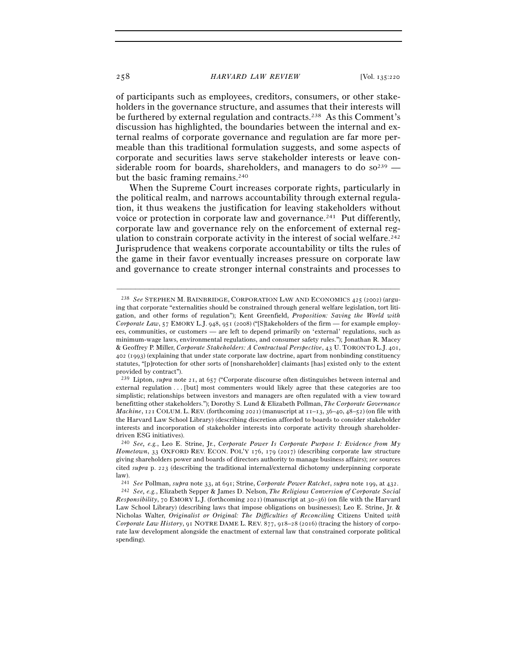of participants such as employees, creditors, consumers, or other stakeholders in the governance structure, and assumes that their interests will be furthered by external regulation and contracts.238 As this Comment's discussion has highlighted, the boundaries between the internal and external realms of corporate governance and regulation are far more permeable than this traditional formulation suggests, and some aspects of corporate and securities laws serve stakeholder interests or leave considerable room for boards, shareholders, and managers to do so<sup>239</sup> but the basic framing remains.<sup>240</sup>

When the Supreme Court increases corporate rights, particularly in the political realm, and narrows accountability through external regulation, it thus weakens the justification for leaving stakeholders without voice or protection in corporate law and governance.241 Put differently, corporate law and governance rely on the enforcement of external regulation to constrain corporate activity in the interest of social welfare.<sup>242</sup> Jurisprudence that weakens corporate accountability or tilts the rules of the game in their favor eventually increases pressure on corporate law and governance to create stronger internal constraints and processes to

<sup>238</sup> *See* STEPHEN M. BAINBRIDGE, CORPORATION LAW AND ECONOMICS 425 (2002) (arguing that corporate "externalities should be constrained through general welfare legislation, tort litigation, and other forms of regulation"); Kent Greenfield, *Proposition: Saving the World with Corporate Law*, 57 EMORY L.J. 948, 951 (2008) ("[S]takeholders of the firm — for example employees, communities, or customers — are left to depend primarily on 'external' regulations, such as minimum-wage laws, environmental regulations, and consumer safety rules."); Jonathan R. Macey & Geoffrey P. Miller, *Corporate Stakeholders: A Contractual Perspective*, 43 U. TORONTO L.J. 401, 402 (1993) (explaining that under state corporate law doctrine, apart from nonbinding constituency statutes, "[p]rotection for other sorts of [nonshareholder] claimants [has] existed only to the extent provided by contract").

<sup>239</sup> Lipton, *supra* note 21, at 657 ("Corporate discourse often distinguishes between internal and external regulation . . . [but] most commenters would likely agree that these categories are too simplistic; relationships between investors and managers are often regulated with a view toward benefitting other stakeholders."); Dorothy S. Lund & Elizabeth Pollman, *The Corporate Governance Machine*, 121 COLUM. L. REV. (forthcoming 2021) (manuscript at 11-13, 36-40, 48-52) (on file with the Harvard Law School Library) (describing discretion afforded to boards to consider stakeholder interests and incorporation of stakeholder interests into corporate activity through shareholderdriven ESG initiatives).

<sup>240</sup> *See, e.g.*, Leo E. Strine, Jr., *Corporate Power Is Corporate Purpose I: Evidence from My Hometown*, 33 OXFORD REV. ECON. POL'Y 176, 179 (2017) (describing corporate law structure giving shareholders power and boards of directors authority to manage business affairs); *see* sources cited *supra* p. 223 (describing the traditional internal/external dichotomy underpinning corporate law).

<sup>&</sup>lt;sup>241</sup> See Pollman, *supra* note 33, at 691; Strine, Corporate Power Ratchet, supra note 199, at 432.<br><sup>242</sup> See, e.g., Elizabeth Sepper & James D. Nelson, The Religious Conversion of Corporate Social *Responsibility*, 70 EMORY L.J. (forthcoming 2021) (manuscript at 30–36) (on file with the Harvard Law School Library) (describing laws that impose obligations on businesses); Leo E. Strine, Jr. & Nicholas Walter, *Originalist or Original: The Difficulties of Reconciling* Citizens United *with Corporate Law History*, 91 NOTRE DAME L. REV. 877, 918–28 (2016) (tracing the history of corporate law development alongside the enactment of external law that constrained corporate political spending).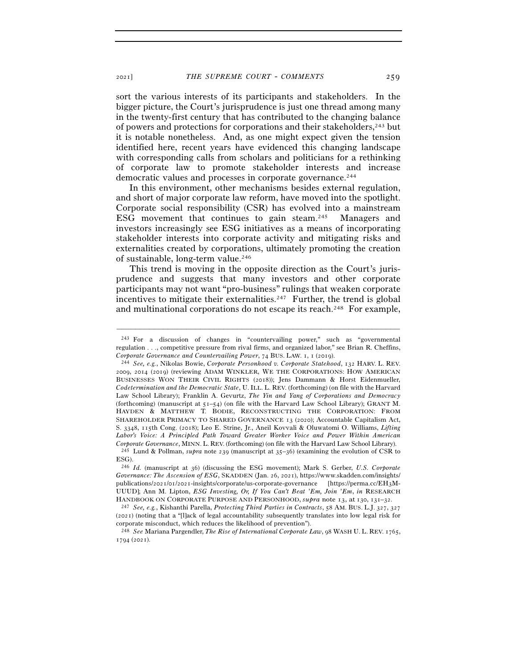sort the various interests of its participants and stakeholders. In the bigger picture, the Court's jurisprudence is just one thread among many in the twenty-first century that has contributed to the changing balance of powers and protections for corporations and their stakeholders,243 but it is notable nonetheless. And, as one might expect given the tension identified here, recent years have evidenced this changing landscape with corresponding calls from scholars and politicians for a rethinking of corporate law to promote stakeholder interests and increase democratic values and processes in corporate governance.<sup>244</sup>

In this environment, other mechanisms besides external regulation, and short of major corporate law reform, have moved into the spotlight. Corporate social responsibility (CSR) has evolved into a mainstream ESG movement that continues to gain steam.245 Managers and investors increasingly see ESG initiatives as a means of incorporating stakeholder interests into corporate activity and mitigating risks and externalities created by corporations, ultimately promoting the creation of sustainable, long-term value.246

This trend is moving in the opposite direction as the Court's jurisprudence and suggests that many investors and other corporate participants may not want "pro-business" rulings that weaken corporate incentives to mitigate their externalities.<sup>247</sup> Further, the trend is global and multinational corporations do not escape its reach.248 For example,

<sup>243</sup> For a discussion of changes in "countervailing power," such as "governmental regulation . . ., competitive pressure from rival firms, and organized labor," see Brian R. Cheffins, *Corporate Governance and Countervailing Power*, 74 BUS. LAW. 1, 1 (<sup>2019</sup>). 244 *See, e.g.*, Nikolas Bowie, *Corporate Personhood v. Corporate Statehood*, 132 HARV. L. REV.

<sup>2009</sup>, 2014 (2019) (reviewing ADAM WINKLER, WE THE CORPORATIONS: HOW AMERICAN BUSINESSES WON THEIR CIVIL RIGHTS (2018)); Jens Dammann & Horst Eidenmueller, *Codetermination and the Democratic State*, U. ILL. L. REV. (forthcoming) (on file with the Harvard Law School Library); Franklin A. Gevurtz, *The Yin and Yang of Corporations and Democracy* (forthcoming) (manuscript at 51–54) (on file with the Harvard Law School Library); GRANT M. HAYDEN & MATTHEW T. BODIE, RECONSTRUCTING THE CORPORATION: FROM SHAREHOLDER PRIMACY TO SHARED GOVERNANCE 13 (2020); Accountable Capitalism Act, S. 3348, 115th Cong. (2018); Leo E. Strine, Jr., Aneil Kovvali & Oluwatomi O. Williams, *Lifting Labor's Voice: A Principled Path Toward Greater Worker Voice and Power Within American Corporate Governance*, MINN. L. REV. (forthcoming) (on file with the Harvard Law School Library). <sup>245</sup> Lund & Pollman, *supra* note 239 (manuscript at 35–36) (examining the evolution of CSR to ESG).

<sup>246</sup> *Id.* (manuscript at 36) (discussing the ESG movement); Mark S. Gerber, *U.S. Corporate Governance: The Ascension of ESG*, SKADDEN (Jan. 26, 2021), https://www.skadden.com/insights/ publications/2021/01/2021-insights/corporate/us-corporate-governance [https://perma.cc/EH3M-UUUD]; Ann M. Lipton, *ESG Investing, Or, If You Can't Beat* '*Em, Join* '*Em*, *in* RESEARCH HANDBOOK ON CORPORATE PURPOSE AND PERSONHOOD, *supra* note 13, at <sup>130</sup>, 131–<sup>32</sup>. 247 *See, e.g.*, Kishanthi Parella, *Protecting Third Parties in Contracts*, 58 AM. BUS. L.J. <sup>327</sup>, <sup>327</sup>

<sup>(</sup>2021) (noting that a "[l]ack of legal accountability subsequently translates into low legal risk for corporate misconduct, which reduces the likelihood of prevention").

<sup>248</sup> *See* Mariana Pargendler, *The Rise of International Corporate Law*, 98 WASH U. L. REV. 1765, 1794 (2021).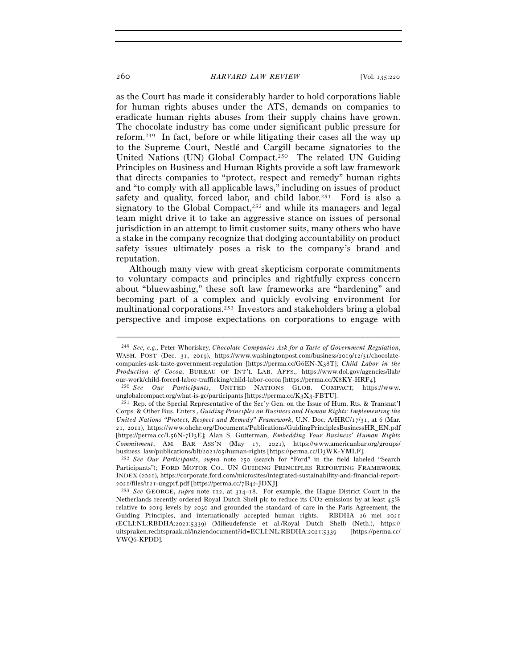as the Court has made it considerably harder to hold corporations liable for human rights abuses under the ATS, demands on companies to eradicate human rights abuses from their supply chains have grown. The chocolate industry has come under significant public pressure for reform.249 In fact, before or while litigating their cases all the way up to the Supreme Court, Nestlé and Cargill became signatories to the United Nations (UN) Global Compact.250 The related UN Guiding Principles on Business and Human Rights provide a soft law framework that directs companies to "protect, respect and remedy" human rights and "to comply with all applicable laws," including on issues of product safety and quality, forced labor, and child labor.<sup>251</sup> Ford is also a signatory to the Global Compact,<sup>252</sup> and while its managers and legal team might drive it to take an aggressive stance on issues of personal jurisdiction in an attempt to limit customer suits, many others who have a stake in the company recognize that dodging accountability on product safety issues ultimately poses a risk to the company's brand and reputation.

Although many view with great skepticism corporate commitments to voluntary compacts and principles and rightfully express concern about "bluewashing," these soft law frameworks are "hardening" and becoming part of a complex and quickly evolving environment for multinational corporations.253 Investors and stakeholders bring a global perspective and impose expectations on corporations to engage with

<sup>249</sup> *See, e.g.*, Peter Whoriskey, *Chocolate Companies Ask for a Taste of Government Regulation*, WASH. POST (Dec. 31, 2019), https://www.washingtonpost.com/business/2019/12/31/chocolatecompanies-ask-taste-government-regulation [https://perma.cc/G6EN-X38T]; *Child Labor in the Production of Cocoa*, BUREAU OF INT'L LAB. AFFS., https://www.dol.gov/agencies/ilab/ our-work/child-forced-labor-trafficking/child-labor-cocoa [https://perma.cc/X8KY-HRF<sup>4</sup>]. 250 *See Our Participants*, UNITED NATIONS GLOB. COMPACT, https://www.

unglobalcompact.org/what-is-gc/participants [https://perma.cc/K3X3-FBTU].<br><sup>251</sup> Rep. of the Special Representative of the Sec'y Gen. on the Issue of Hum. Rts. & Transnat'l

Corps. & Other Bus. Enters., *Guiding Principles on Business and Human Rights: Implementing the United Nations "Protect, Respect and Remedy" Framework*, U.N. Doc. A/HRC/17/31, at 6 (Mar. 21, 2011), https://www.ohchr.org/Documents/Publications/GuidingPrinciplesBusinessHR\_EN.pdf [https://perma.cc/L56N-7D3E]; Alan S. Gutterman, *Embedding Your Business' Human Rights Commitment*, AM. BAR ASS'N (May 17, 2021), https://www.americanbar.org/groups/ business\_law/publications/blt/2021/05/human-rights [https://perma.cc/D<sup>3</sup>WK-YMLF]. 252 *See Our Participants*, *supra* note 250 (search for "Ford" in the field labeled "Search

Participants"); FORD MOTOR CO., UN GUIDING PRINCIPLES REPORTING FRAMEWORK INDEX (2021), https://corporate.ford.com/microsites/integrated-sustainability-and-financial-report-<sup>2021</sup>/files/ir21-ungprf.pdf [https://perma.cc/7B<sup>42</sup>-JDXJ]. 253 *See* GEORGE, *supra* note 112, at 314–18. For example, the Hague District Court in the

Netherlands recently ordered Royal Dutch Shell plc to reduce its CO2 emissions by at least 45% relative to 2019 levels by 2030 and grounded the standard of care in the Paris Agreement, the Guiding Principles, and internationally accepted human rights. RBDHA 26 mei 2021 (ECLI:NL:RBDHA:2021:5339) (Milieudefensie et al./Royal Dutch Shell) (Neth.), https:// uitspraken.rechtspraak.nl/inziendocument?id=ECLI:NL:RBDHA:2021:5339 [https://perma.cc/ YWQ6-KPDD].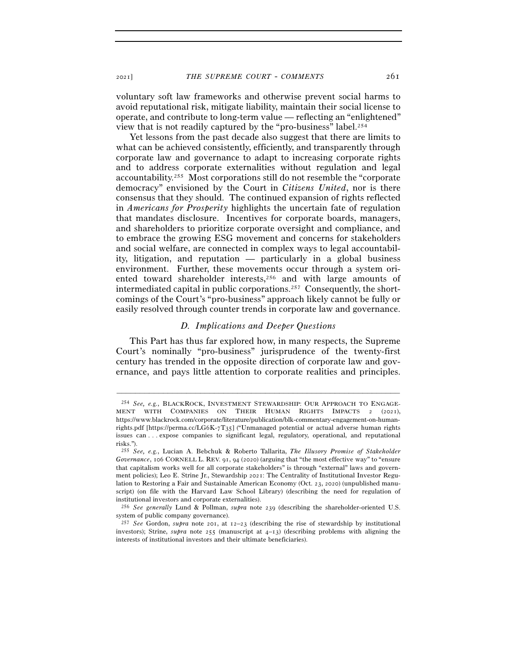<sup>2021</sup>] *THE SUPREME COURT* - *COMMENTS* 261

voluntary soft law frameworks and otherwise prevent social harms to avoid reputational risk, mitigate liability, maintain their social license to operate, and contribute to long-term value — reflecting an "enlightened" view that is not readily captured by the "pro-business" label.254

Yet lessons from the past decade also suggest that there are limits to what can be achieved consistently, efficiently, and transparently through corporate law and governance to adapt to increasing corporate rights and to address corporate externalities without regulation and legal accountability.255 Most corporations still do not resemble the "corporate democracy" envisioned by the Court in *Citizens United*, nor is there consensus that they should. The continued expansion of rights reflected in *Americans for Prosperity* highlights the uncertain fate of regulation that mandates disclosure. Incentives for corporate boards, managers, and shareholders to prioritize corporate oversight and compliance, and to embrace the growing ESG movement and concerns for stakeholders and social welfare, are connected in complex ways to legal accountability, litigation, and reputation — particularly in a global business environment. Further, these movements occur through a system oriented toward shareholder interests,<sup>256</sup> and with large amounts of intermediated capital in public corporations.<sup>257</sup> Consequently, the shortcomings of the Court's "pro-business" approach likely cannot be fully or easily resolved through counter trends in corporate law and governance.

### *D. Implications and Deeper Questions*

This Part has thus far explored how, in many respects, the Supreme Court's nominally "pro-business" jurisprudence of the twenty-first century has trended in the opposite direction of corporate law and governance, and pays little attention to corporate realities and principles.

<sup>254</sup> *See, e.g.*, BLACKROCK, INVESTMENT STEWARDSHIP: OUR APPROACH TO ENGAGE-MENT WITH COMPANIES ON THEIR HUMAN RIGHTS IMPACTS 2 (2021), https://www.blackrock.com/corporate/literature/publication/blk-commentary-engagement-on-humanrights.pdf [https://perma.cc/LG6K-7T35] ("Unmanaged potential or actual adverse human rights issues can . . . expose companies to significant legal, regulatory, operational, and reputational risks.").

<sup>255</sup> *See, e.g.*, Lucian A. Bebchuk & Roberto Tallarita, *The Illusory Promise of Stakeholder Governance*, 106 CORNELL L. REV. 91, 94 (2020) (arguing that "the most effective way" to "ensure that capitalism works well for all corporate stakeholders" is through "external" laws and government policies); Leo E. Strine Jr., Stewardship 2021: The Centrality of Institutional Investor Regulation to Restoring a Fair and Sustainable American Economy (Oct. 23, 2020) (unpublished manuscript) (on file with the Harvard Law School Library) (describing the need for regulation of institutional investors and corporate externalities).

<sup>256</sup> *See generally* Lund & Pollman, *supra* note 239 (describing the shareholder-oriented U.S. system of public company governance). 257 *See* Gordon, *supra* note 201, at 12–23 (describing the rise of stewardship by institutional

investors); Strine, *supra* note 255 (manuscript at 4–13) (describing problems with aligning the interests of institutional investors and their ultimate beneficiaries).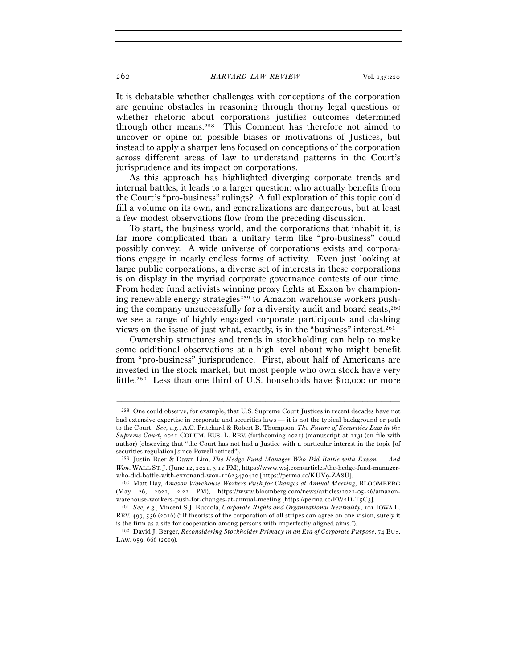It is debatable whether challenges with conceptions of the corporation are genuine obstacles in reasoning through thorny legal questions or whether rhetoric about corporations justifies outcomes determined through other means.258 This Comment has therefore not aimed to uncover or opine on possible biases or motivations of Justices, but instead to apply a sharper lens focused on conceptions of the corporation across different areas of law to understand patterns in the Court's jurisprudence and its impact on corporations.

As this approach has highlighted diverging corporate trends and internal battles, it leads to a larger question: who actually benefits from the Court's "pro-business" rulings? A full exploration of this topic could fill a volume on its own, and generalizations are dangerous, but at least a few modest observations flow from the preceding discussion.

To start, the business world, and the corporations that inhabit it, is far more complicated than a unitary term like "pro-business" could possibly convey. A wide universe of corporations exists and corporations engage in nearly endless forms of activity. Even just looking at large public corporations, a diverse set of interests in these corporations is on display in the myriad corporate governance contests of our time. From hedge fund activists winning proxy fights at Exxon by championing renewable energy strategies<sup>259</sup> to Amazon warehouse workers pushing the company unsuccessfully for a diversity audit and board seats,  $260$ we see a range of highly engaged corporate participants and clashing views on the issue of just what, exactly, is in the "business" interest.261

Ownership structures and trends in stockholding can help to make some additional observations at a high level about who might benefit from "pro-business" jurisprudence. First, about half of Americans are invested in the stock market, but most people who own stock have very little.262 Less than one third of U.S. households have \$10,000 or more

<sup>258</sup> One could observe, for example, that U.S. Supreme Court Justices in recent decades have not had extensive expertise in corporate and securities laws — it is not the typical background or path to the Court. *See, e.g.*, A.C. Pritchard & Robert B. Thompson, *The Future of Securities Law in the Supreme Court*, 2021 COLUM. BUS. L. REV. (forthcoming 2021) (manuscript at 113) (on file with author) (observing that "the Court has not had a Justice with a particular interest in the topic [of securities regulation] since Powell retired").

<sup>259</sup> Justin Baer & Dawn Lim, *The Hedge-Fund Manager Who Did Battle with Exxon — And Won*, WALL ST. J. (June 12, 2021, 3:12 PM), https://www.wsj.com/articles/the-hedge-fund-managerwho-did-battle-with-exxonand-won-11623470420 [https://perma.cc/KUY9-ZA<sup>8</sup>U]. 260 Matt Day, *Amazon Warehouse Workers Push for Changes at Annual Meeting*, BLOOMBERG

<sup>(</sup>May 26, 2021, 2:22 PM), https://www.bloomberg.com/news/articles/2021-05-26/amazonwarehouse-workers-push-for-changes-at-annual-meeting [https://perma.cc/FW2D-T5C<sup>3</sup>]. 261 *See, e.g.*, Vincent S.J. Buccola, *Corporate Rights and Organizational Neutrality*, 101 IOWA L.

REV. 499, 536 (2016) ("If theorists of the corporation of all stripes can agree on one vision, surely it is the firm as a site for cooperation among persons with imperfectly aligned aims."). 262 David J. Berger, *Reconsidering Stockholder Primacy in an Era of Corporate Purpose*, 74 BUS.

LAW. 659, 666 (2019).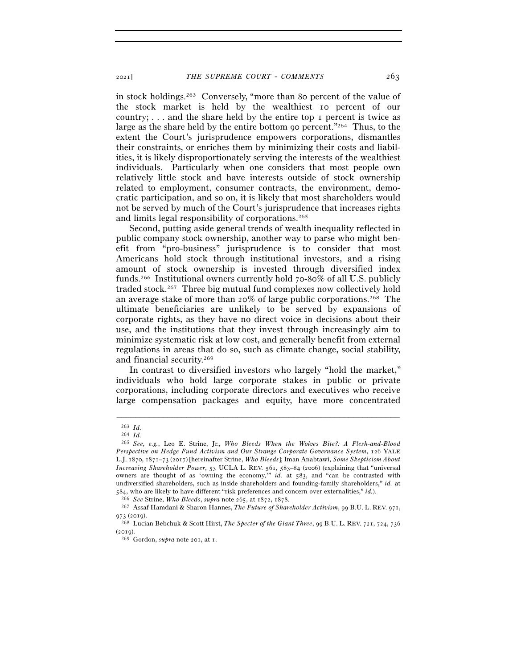in stock holdings.263 Conversely, "more than 80 percent of the value of the stock market is held by the wealthiest 10 percent of our country; . . . and the share held by the entire top 1 percent is twice as large as the share held by the entire bottom 90 percent."264 Thus, to the extent the Court's jurisprudence empowers corporations, dismantles their constraints, or enriches them by minimizing their costs and liabilities, it is likely disproportionately serving the interests of the wealthiest individuals. Particularly when one considers that most people own relatively little stock and have interests outside of stock ownership related to employment, consumer contracts, the environment, democratic participation, and so on, it is likely that most shareholders would not be served by much of the Court's jurisprudence that increases rights and limits legal responsibility of corporations.265

Second, putting aside general trends of wealth inequality reflected in public company stock ownership, another way to parse who might benefit from "pro-business" jurisprudence is to consider that most Americans hold stock through institutional investors, and a rising amount of stock ownership is invested through diversified index funds.266 Institutional owners currently hold 70-80% of all U.S. publicly traded stock.267 Three big mutual fund complexes now collectively hold an average stake of more than 20% of large public corporations.<sup>268</sup> The ultimate beneficiaries are unlikely to be served by expansions of corporate rights, as they have no direct voice in decisions about their use, and the institutions that they invest through increasingly aim to minimize systematic risk at low cost, and generally benefit from external regulations in areas that do so, such as climate change, social stability, and financial security.269

In contrast to diversified investors who largely "hold the market," individuals who hold large corporate stakes in public or private corporations, including corporate directors and executives who receive large compensation packages and equity, have more concentrated

<sup>263</sup> *Id.*

<sup>264</sup> *Id.*

<sup>265</sup> *See, e.g.*, Leo E. Strine, Jr., *Who Bleeds When the Wolves Bite?: A Flesh-and-Blood Perspective on Hedge Fund Activism and Our Strange Corporate Governance System*, 126 YALE L.J. 1870, 1871–73 (2017) [hereinafter Strine, *Who Bleeds*]; Iman Anabtawi, *Some Skepticism About Increasing Shareholder Power*, 53 UCLA L. REV. 561, 583–84 (2006) (explaining that "universal owners are thought of as 'owning the economy,'" *id.* at 583, and "can be contrasted with undiversified shareholders, such as inside shareholders and founding-family shareholders," *id.* at 584, who are likely to have different "risk preferences and concern over externalities," *id.*).<br><sup>266</sup> See Strine, *Who Bleeds, supra* note 265, at 1872, 1878.<br><sup>267</sup> Assaf Hamdani & Sharon Hannes, *The Future of Sharehold* 

<sup>973</sup> (<sup>2019</sup>). 268 Lucian Bebchuk & Scott Hirst, *The Specter of the Giant Three*, 99 B.U. L. REV. 721, 724, <sup>736</sup>

<sup>(</sup><sup>2019</sup>). 269 Gordon, *supra* note 201, at 1.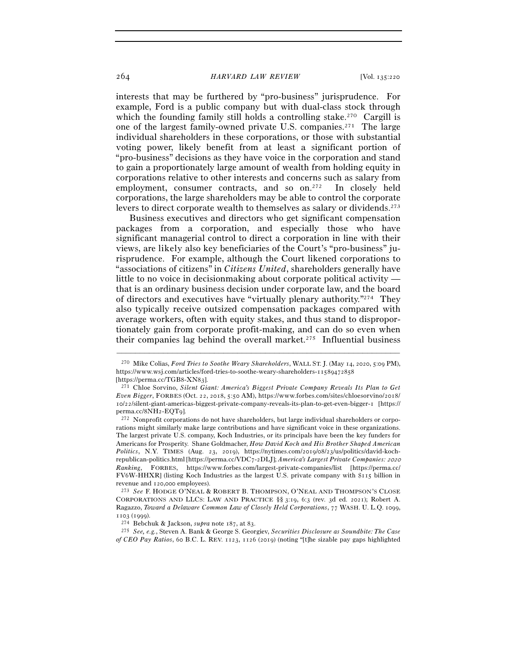interests that may be furthered by "pro-business" jurisprudence. For example, Ford is a public company but with dual-class stock through which the founding family still holds a controlling stake.<sup>270</sup> Cargill is one of the largest family-owned private U.S. companies.271 The large individual shareholders in these corporations, or those with substantial voting power, likely benefit from at least a significant portion of "pro-business" decisions as they have voice in the corporation and stand to gain a proportionately large amount of wealth from holding equity in corporations relative to other interests and concerns such as salary from employment, consumer contracts, and so on.<sup>272</sup> In closely held corporations, the large shareholders may be able to control the corporate levers to direct corporate wealth to themselves as salary or dividends.<sup>273</sup>

Business executives and directors who get significant compensation packages from a corporation, and especially those who have significant managerial control to direct a corporation in line with their views, are likely also key beneficiaries of the Court's "pro-business" jurisprudence. For example, although the Court likened corporations to "associations of citizens" in *Citizens United*, shareholders generally have little to no voice in decisionmaking about corporate political activity that is an ordinary business decision under corporate law, and the board of directors and executives have "virtually plenary authority."274 They also typically receive outsized compensation packages compared with average workers, often with equity stakes, and thus stand to disproportionately gain from corporate profit-making, and can do so even when their companies lag behind the overall market.275 Influential business

<sup>270</sup> Mike Colias, *Ford Tries to Soothe Weary Shareholders*, WALL ST. J. (May 14, 2020, 5:09 PM), https://www.wsj.com/articles/ford-tries-to-soothe-weary-shareholders-11589472858

<sup>[</sup>https://perma.cc/TGB8-XN<sup>83</sup>]. 271 Chloe Sorvino, *Silent Giant: America's Biggest Private Company Reveals Its Plan to Get Even Bigger*, FORBES (Oct. 22, 2018, 5:50 AM), https://www.forbes.com/sites/chloesorvino/2018/ 10/22/silent-giant-americas-biggest-private-company-reveals-its-plan-to-get-even-bigger-1 [https:// perma.cc/8NH2-EQT<sup>9</sup>]. 272 Nonprofit corporations do not have shareholders, but large individual shareholders or corpo-

rations might similarly make large contributions and have significant voice in these organizations. The largest private U.S. company, Koch Industries, or its principals have been the key funders for Americans for Prosperity. Shane Goldmacher, *How David Koch and His Brother Shaped American Politics*, N.Y. TIMES (Aug. 23, 2019), https://nytimes.com/2019/08/23/us/politics/david-kochrepublican-politics.html [https://perma.cc/VDC7-2DLJ]; *America's Largest Private Companies:* <sup>2020</sup> *Ranking*, FORBES, https://www.forbes.com/largest-private-companies/list [https://perma.cc/ FV6W-HHXR] (listing Koch Industries as the largest U.S. private company with \$115 billion in revenue and 120,<sup>000</sup> employees). 273 *See* F. HODGE O'NEAL & ROBERT B. THOMPSON, O'NEAL AND THOMPSON'S CLOSE

CORPORATIONS AND LLCS: LAW AND PRACTICE §§ 3:19, 6:3 (rev. 3d ed. 2021); Robert A. Ragazzo, *Toward a Delaware Common Law of Closely Held Corporations*, 77 WASH. U. L.Q. 1099,

<sup>1103</sup> (<sup>1999</sup>). 274 Bebchuk & Jackson, *supra* note 187, at <sup>83</sup>. 275 *See, e.g.*, Steven A. Bank & George S. Georgiev, *Securities Disclosure as Soundbite: The Case of CEO Pay Ratios*, 60 B.C. L. REV. 1123, 1126 (2019) (noting "[t]he sizable pay gaps highlighted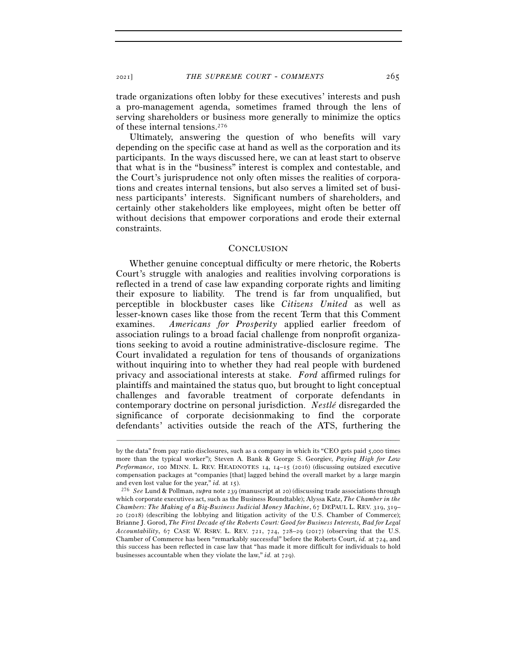trade organizations often lobby for these executives' interests and push a pro-management agenda, sometimes framed through the lens of serving shareholders or business more generally to minimize the optics of these internal tensions.276

Ultimately, answering the question of who benefits will vary depending on the specific case at hand as well as the corporation and its participants. In the ways discussed here, we can at least start to observe that what is in the "business" interest is complex and contestable, and the Court's jurisprudence not only often misses the realities of corporations and creates internal tensions, but also serves a limited set of business participants' interests. Significant numbers of shareholders, and certainly other stakeholders like employees, might often be better off without decisions that empower corporations and erode their external constraints.

#### **CONCLUSION**

Whether genuine conceptual difficulty or mere rhetoric, the Roberts Court's struggle with analogies and realities involving corporations is reflected in a trend of case law expanding corporate rights and limiting their exposure to liability. The trend is far from unqualified, but perceptible in blockbuster cases like *Citizens United* as well as lesser-known cases like those from the recent Term that this Comment examines. *Americans for Prosperity* applied earlier freedom of association rulings to a broad facial challenge from nonprofit organizations seeking to avoid a routine administrative-disclosure regime. The Court invalidated a regulation for tens of thousands of organizations without inquiring into to whether they had real people with burdened privacy and associational interests at stake. *Ford* affirmed rulings for plaintiffs and maintained the status quo, but brought to light conceptual challenges and favorable treatment of corporate defendants in contemporary doctrine on personal jurisdiction. *Nestlé* disregarded the significance of corporate decisionmaking to find the corporate defendants' activities outside the reach of the ATS, furthering the

by the data" from pay ratio disclosures, such as a company in which its "CEO gets paid 5,000 times more than the typical worker"); Steven A. Bank & George S. Georgiev, *Paying High for Low Performance*, 100 MINN. L. REV. HEADNOTES 14, 14–15 (2016) (discussing outsized executive compensation packages at "companies [that] lagged behind the overall market by a large margin and even lost value for the year,"  $id$ . at  $15$ ).

<sup>&</sup>lt;sup>276</sup> See Lund & Pollman, *supra* note 239 (manuscript at 20) (discussing trade associations through which corporate executives act, such as the Business Roundtable); Alyssa Katz, *The Chamber in the Chambers: The Making of a Big-Business Judicial Money Machine*, 67 DEPAUL L. REV. 319, 319– 20 (2018) (describing the lobbying and litigation activity of the U.S. Chamber of Commerce); Brianne J. Gorod, *The First Decade of the Roberts Court: Good for Business Interests, Bad for Legal Accountability*, 67 CASE W. RSRV. L. REV. 721, 724, 728–29 (2017) (observing that the U.S. Chamber of Commerce has been "remarkably successful" before the Roberts Court, *id.* at 724, and this success has been reflected in case law that "has made it more difficult for individuals to hold businesses accountable when they violate the law," *id.* at 729).